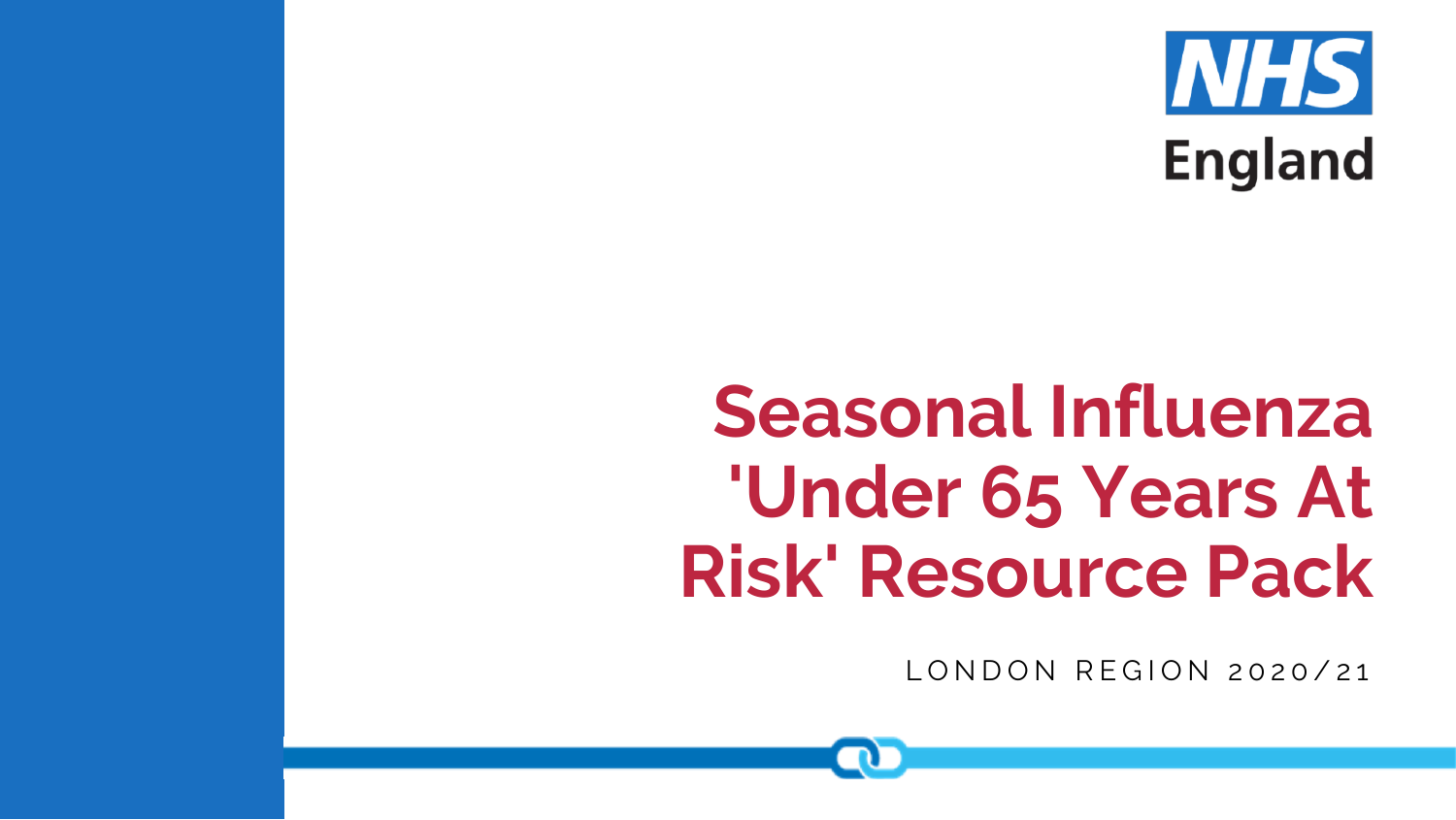

# **Seasonal Influenza 'Under 65 Years At Risk' Resource Pack**

LONDON REGION 2020/21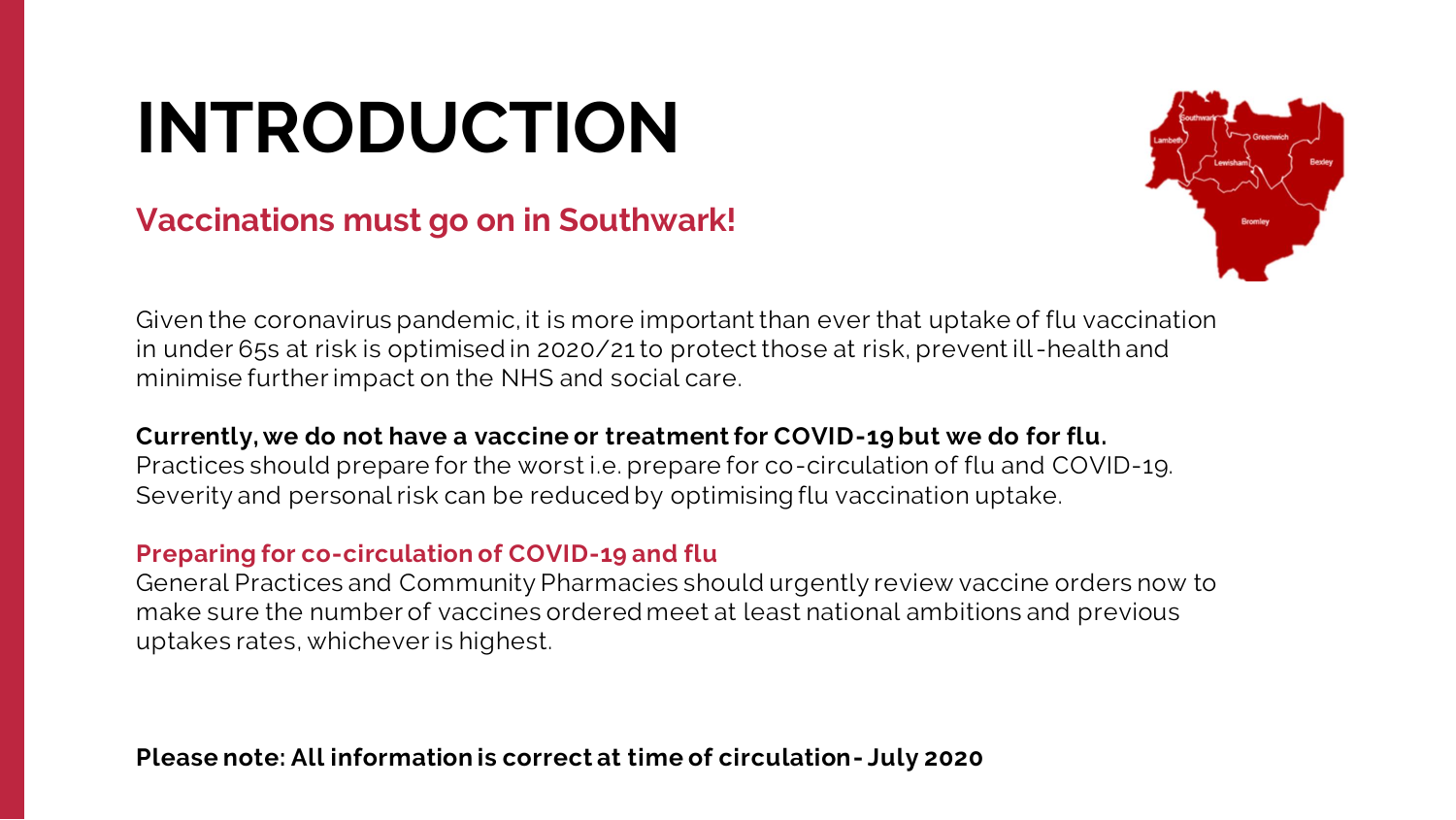# **INTRODUCTION**

### **Vaccinations must go on in Southwark!**

Given the coronavirus pandemic, it is more important than ever that uptake of flu vaccination in under 65s at risk is optimised in 2020/21 to protect those at risk, prevent ill -health and minimise further impact on the NHS and social care.

**Currently, we do not have a vaccine or treatment for COVID-19 but we do for flu.**  Practices should prepare for the worst i.e. prepare for co-circulation of flu and COVID-19. Severity and personal risk can be reduced by optimising flu vaccination uptake.

#### **Preparing for co-circulation of COVID-19 and flu**

General Practices and Community Pharmacies should urgently review vaccine orders now to make sure the number of vaccines ordered meet at least national ambitions and previous uptakes rates, whichever is highest.

**Please note: All information is correct at time of circulation- July 2020**

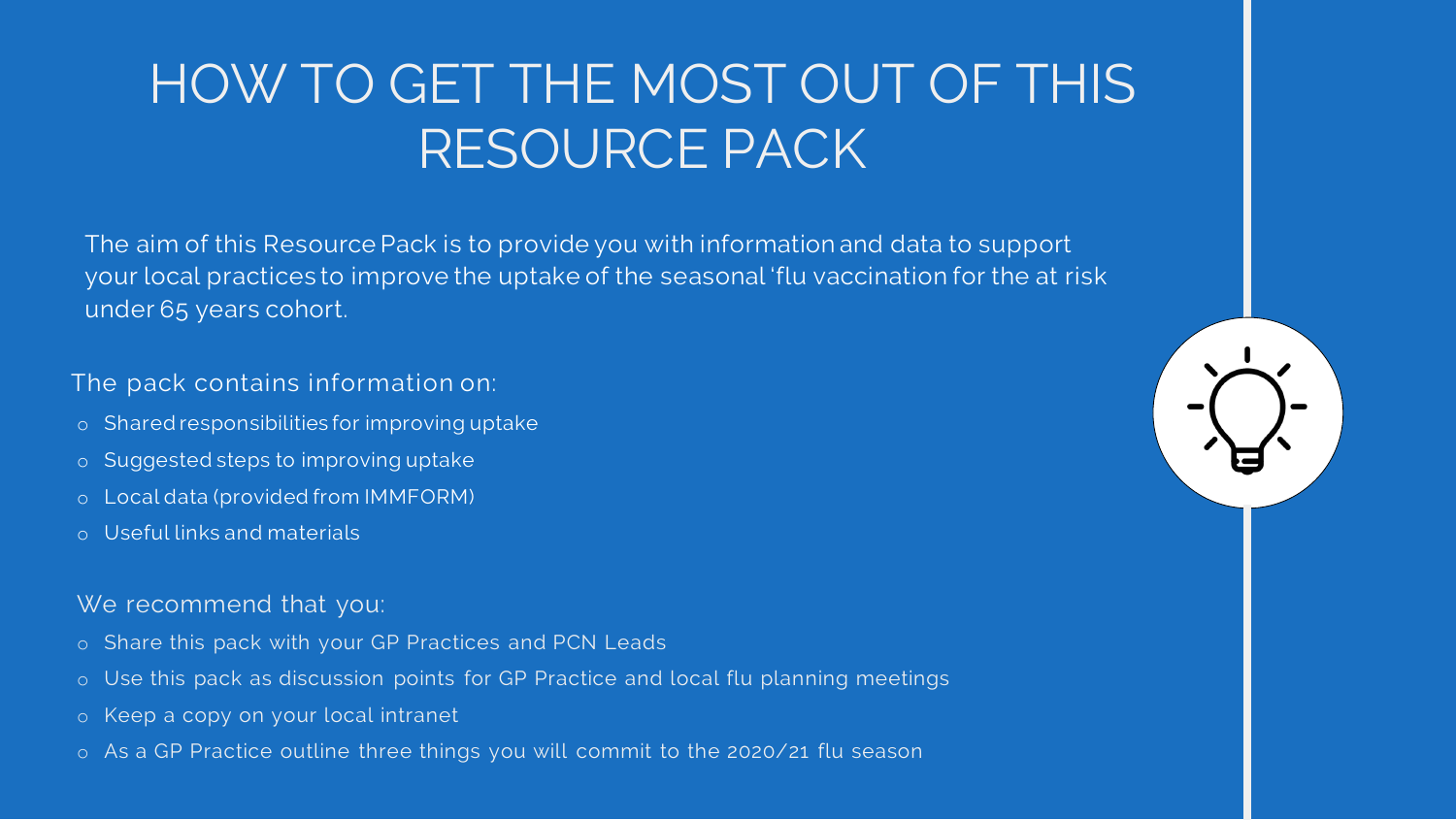## HOW TO GET THE MOST OUT OF THIS RESOURCE PACK

The aim of this Resource Pack is to provide you with information and data to support your local practices to improve the uptake of the seasonal 'flu vaccination for the at risk under 65 years cohort.

#### The pack contains information on:

- o Shared responsibilities for improving uptake
- o Suggested steps to improving uptake
- o Local data (provided from IMMFORM)
- o Useful links and materials

#### We recommend that you:

- o Share this pack with your GP Practices and PCN Leads
- o Use this pack as discussion points for GP Practice and local flu planning meetings
- o Keep a copy on your local intranet
- o As a GP Practice outline three things you will commit to the 2020/21 flu season

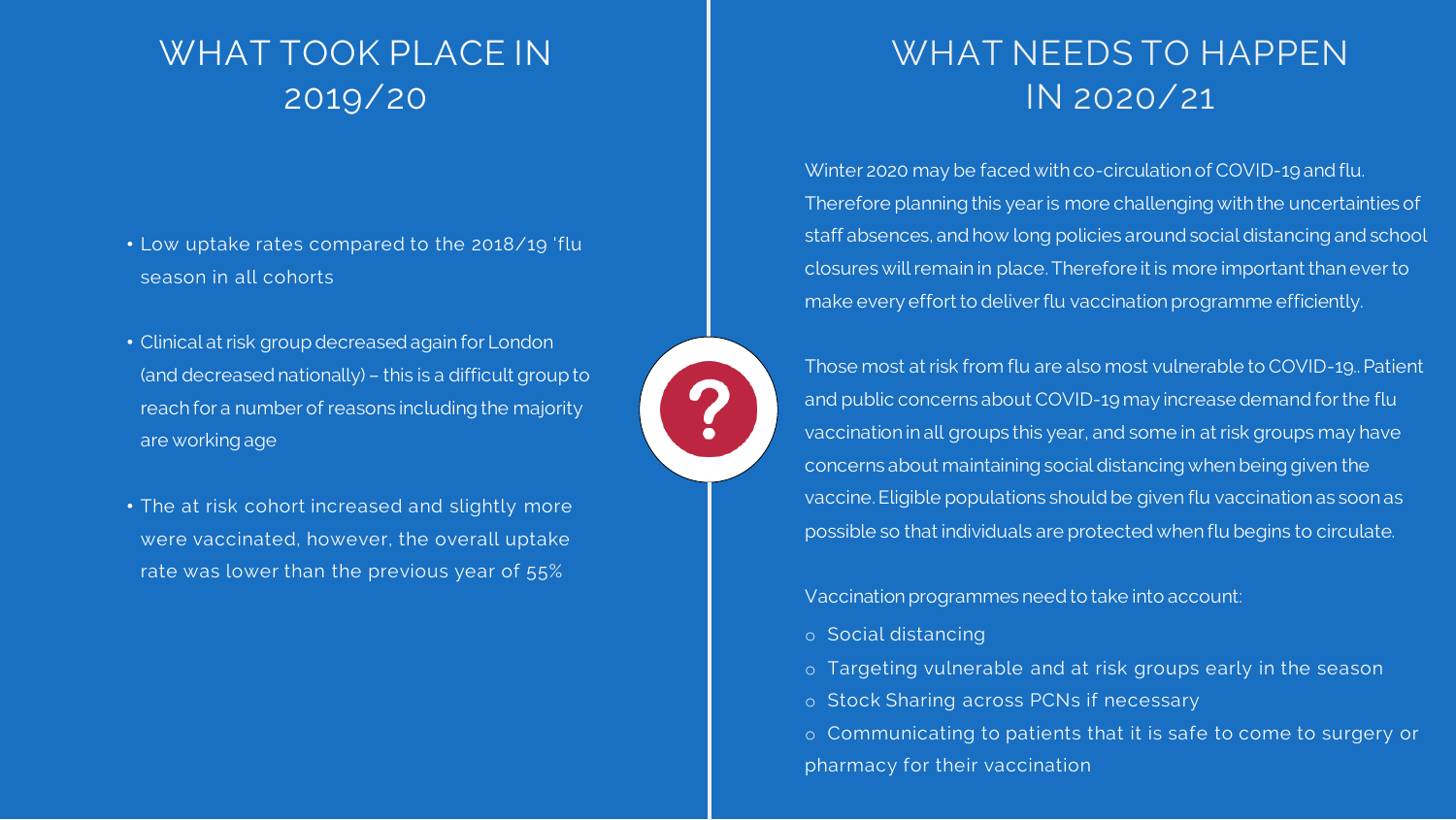## WHAT TOOK PLACE IN 2019/20

- Low uptake rates compared to the 2018/19 'flu season in all cohorts
- Clinical at risk group decreased again for London (and decreased nationally) – this is a difficult group to reach for a number of reasons including the majority are working age
- The at risk cohort increased and slightly more were vaccinated, however, the overall uptake rate was lower than the previous year of 55%



## WHAT NEEDS TO HAPPEN IN 2020/21

Winter 2020 may be faced with co-circulation of COVID-19 and flu. Therefore planning this year is more challenging with the uncertainties of staff absences, and how long policies around social distancing and school closures will remain in place. Therefore it is more important than ever to make every effort to deliver flu vaccination programme efficiently.

Those most at risk from flu are also most vulnerable to COVID-19.. Patient and public concerns about COVID-19 may increase demand for the flu vaccination in all groups this year, and some in at risk groups may have concerns about maintaining social distancing when being given the vaccine. Eligible populations should be given flu vaccination as soon as possible so that individuals are protected when flu begins to circulate.

Vaccination programmes need to take into account:

o Social distancing

?

- 
- 
- 
- 

o Targeting vulnerable and at risk groups early in the season o Stock Sharing across PCNs if necessary

o Communicating to patients that it is safe to come to surgery or pharmacy for their vaccination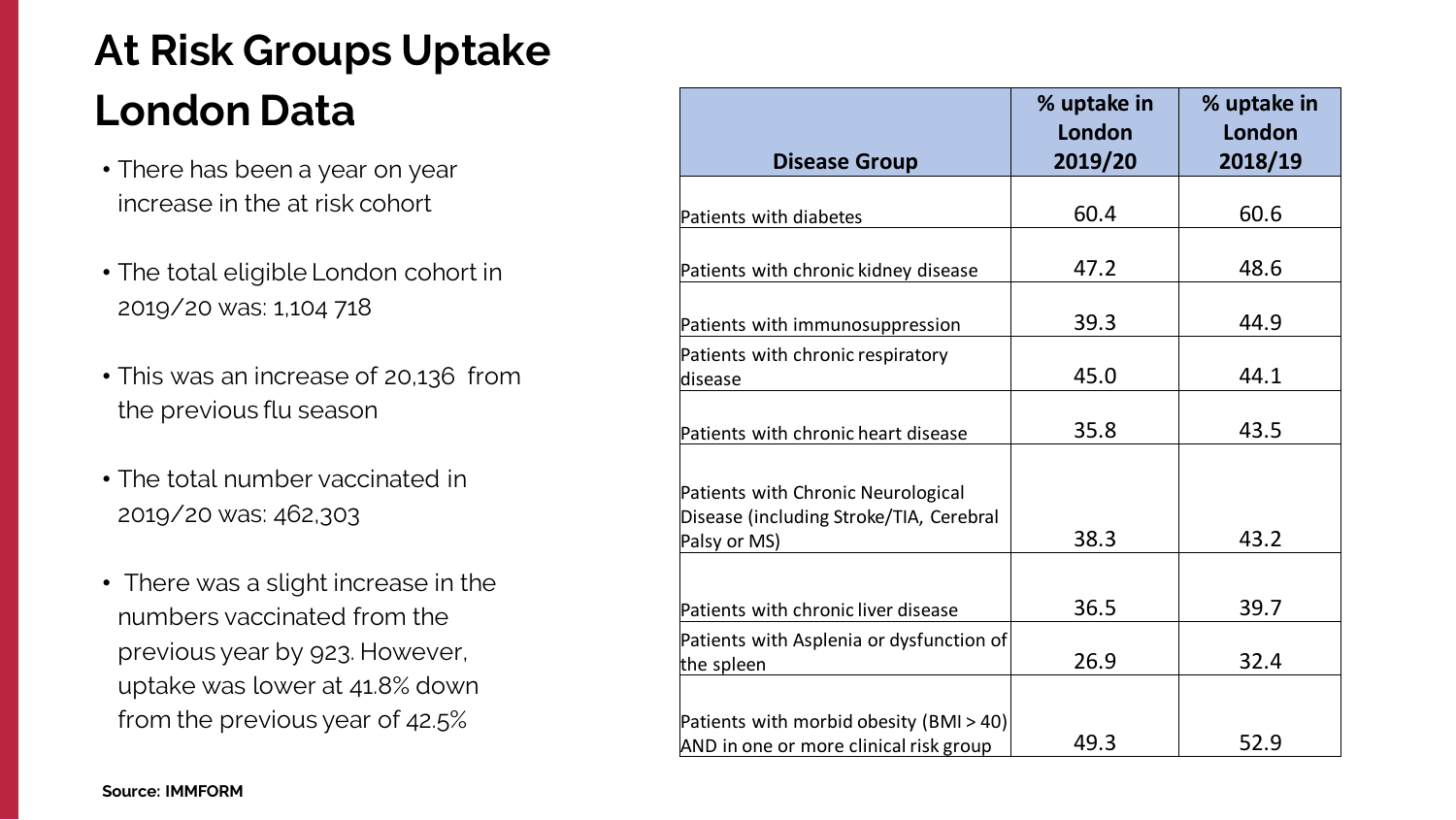## **At Risk Groups Uptake London Data**

| <b>Disease Group</b>                                                                          | % uptake in<br>London<br>2019/20 | % uptake in<br>London<br>2018/19 |
|-----------------------------------------------------------------------------------------------|----------------------------------|----------------------------------|
| Patients with diabetes                                                                        | 60.4                             | 60.6                             |
| Patients with chronic kidney disease                                                          | 47.2                             | 48.6                             |
| Patients with immunosuppression                                                               | 39.3                             | 44.9                             |
| Patients with chronic respiratory<br>disease                                                  | 45.0                             | 44.1                             |
| Patients with chronic heart disease                                                           | 35.8                             | 43.5                             |
| Patients with Chronic Neurological<br>Disease (including Stroke/TIA, Cerebral<br>Palsy or MS) | 38.3                             | 43.2                             |
| Patients with chronic liver disease                                                           | 36.5                             | 39.7                             |
| Patients with Asplenia or dysfunction of<br>the spleen                                        | 26.9                             | 32.4                             |
| Patients with morbid obesity (BMI > 40)<br>AND in one or more clinical risk group             | 49.3                             | 52.9                             |

- There has been a year on year increase in the at risk cohort
- The total eligible London cohort in 2019/20 was: 1,104 718
- This was an increase of 20,136 from the previous flu season
- The total number vaccinated in 2019/20 was: 462,303
- There was a slight increase in the numbers vaccinated from the previous year by 923. However, uptake was lower at 41.8% down from the previous year of 42.5%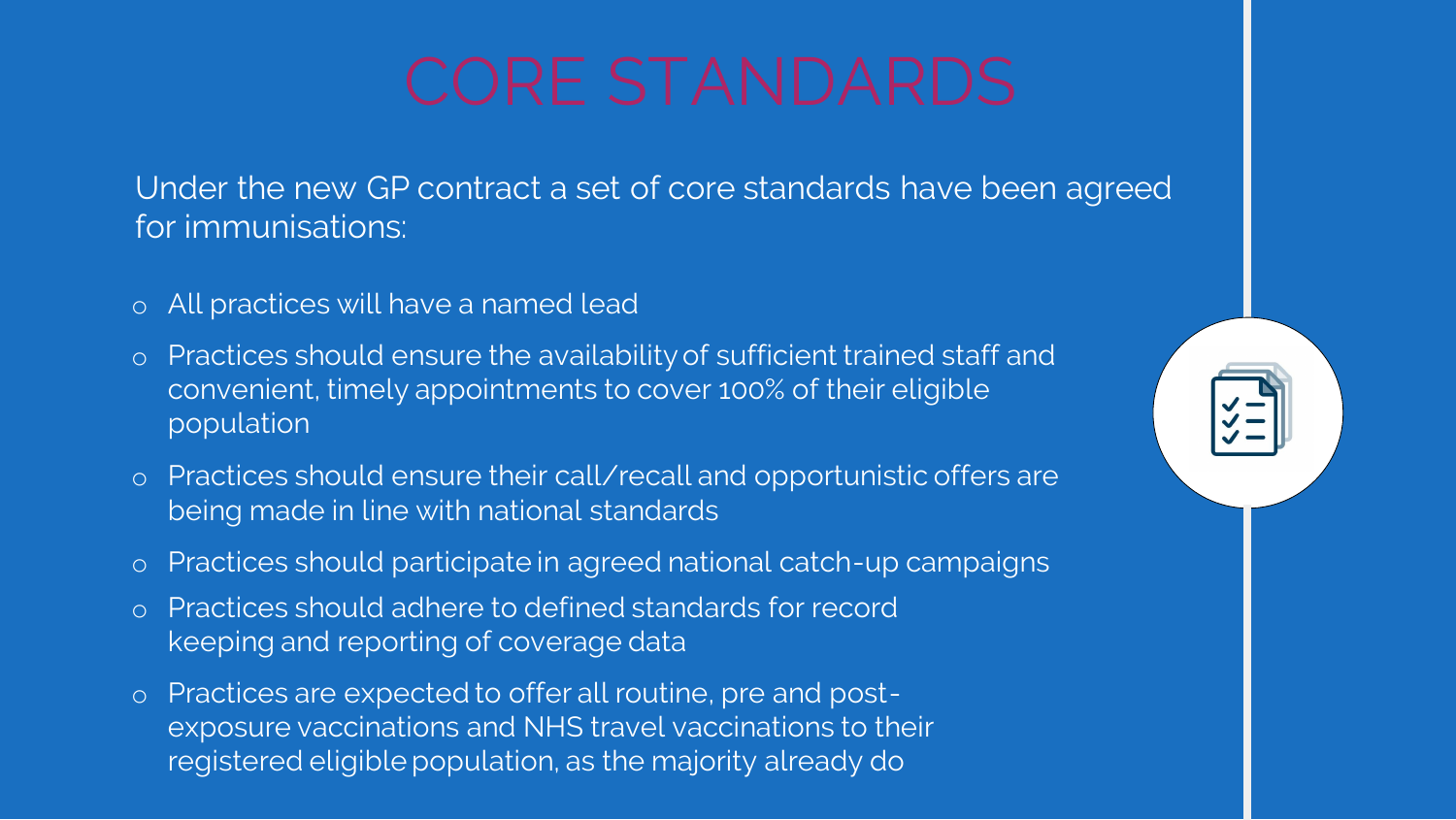- o All practices will have a named lead
- o Practices should ensure the availability of sufficient trained staff and convenient, timely appointments to cover 100% of their eligible population
- o Practices should ensure their call/recall and opportunistic offers are being made in line with national standards
- o Practices should participate in agreed national catch-up campaigns
- o Practices should adhere to defined standards for record keeping and reporting of coverage data
- o Practices are expected to offer all routine, pre and postexposure vaccinations and NHS travel vaccinations to their registered eligible population, as the majority already do



Under the new GP contract a set of core standards have been agreed for immunisations: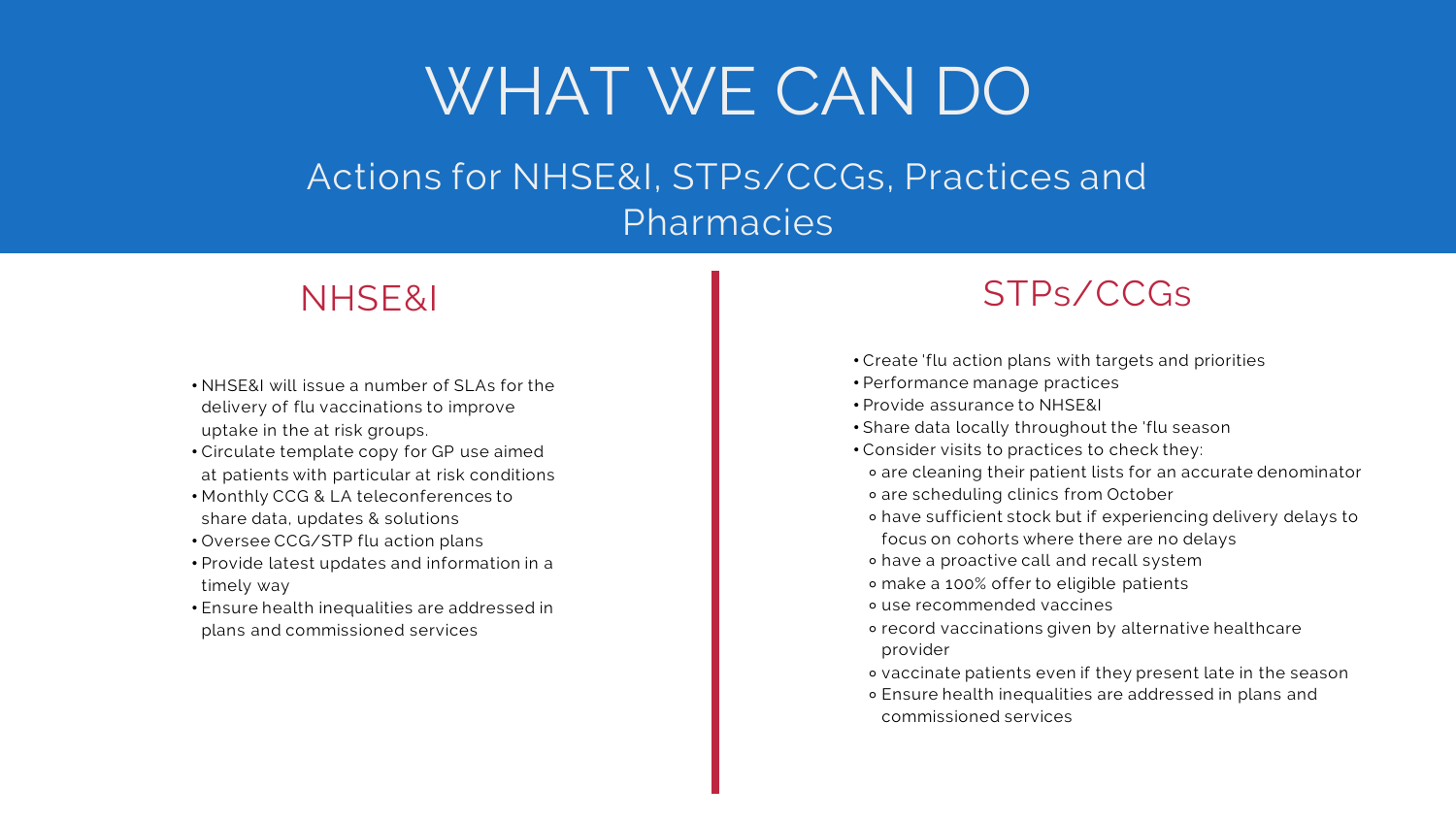- NHSE&I will issue a number of SLAs for the delivery of flu vaccinations to improve uptake in the at risk groups.
- Circulate template copy for GP use aimed at patients with particular at risk conditions
- Monthly CCG & LA teleconferences to share data, updates & solutions
- Oversee CCG/STP flu action plans
- Provide latest updates and information in a timely way
- Ensure health inequalities are addressed in plans and commissioned services

### NHSE&I

- Create 'flu action plans with targets and priorities
- Performance manage practices
- Provide assurance to NHSE&I
- Share data locally throughout the 'flu season

## HOW YOU CAN BE AN UPSTANDER Pharmacies

- 
- 
- 
- 
- Consider visits to practices to check they:
- ⚬ are cleaning their patient lists for an accurate denominator
- ⚬ are scheduling clinics from October
- ⚬ have sufficient stock but if experiencing delivery delays to
- focus on cohorts where there are no delays
- ⚬ have a proactive call and recall system
- ⚬ make a 100% offer to eligible patients
- ⚬ use recommended vaccines
- ⚬ record vaccinations given by alternative healthcare provider
	-
- ⚬ vaccinate patients even if they present late in the season ⚬ Ensure health inequalities are addressed in plans and commissioned services
- 
- 

## STPs/CCGs

## WHAT WE CAN DO Actions for NHSE&I, STPs/CCGs, Practices and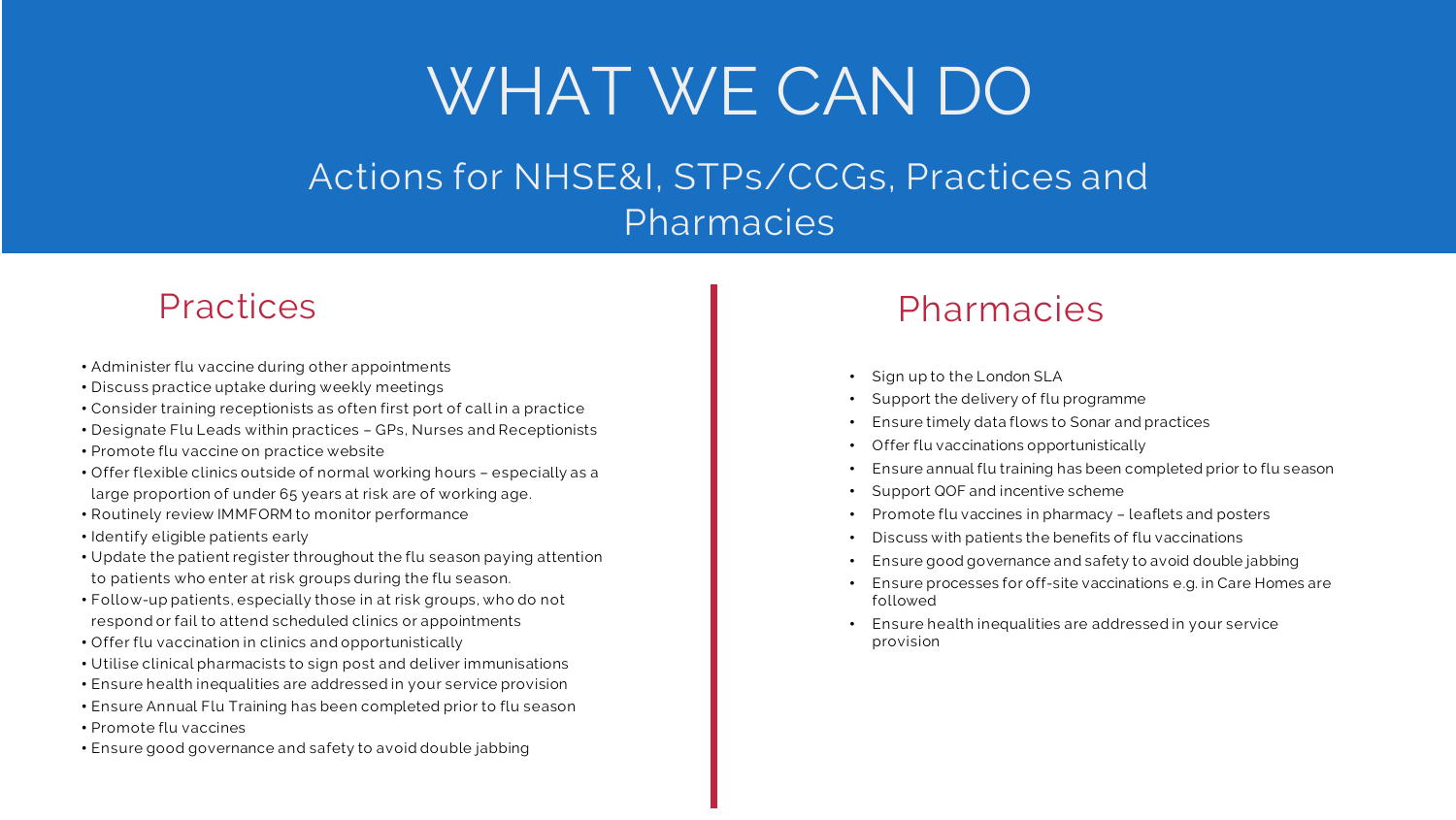## Pharmacies

- Administer flu vaccine during other appointments
- Discuss practice uptake during weekly meetings
- Consider training receptionists as often first port of call in a practice
- Designate Flu Leads within practices GPs, Nurses and Receptionists
- Promote flu vaccine on practice website
- Offer flexible clinics outside of normal working hours especially as a large proportion of under 65 years at risk are of working age.
- Routinely review IMMFORM to monitor performance
- Identify eligible patients early
- Update the patient register throughout the flu season paying attention to patients who enter at risk groups during the flu season.
- Follow-up patients, especially those in at risk groups, who do not respond or fail to attend scheduled clinics or appointments
- Offer flu vaccination in clinics and opportunistically
- Utilise clinical pharmacists to sign post and deliver immunisations
- Ensure health inequalities are addressed in your service provision
- Ensure Annual Flu Training has been completed prior to flu season
- Promote flu vaccines
- Ensure good governance and safety to avoid double jabbing

## WHAT WE CAN DO

#### HOW YOU CAN BE AN UPSTANDER Actions for NHSE&I, STPs/CCGs, Practices and **Pharmacies**

### **Practices**

- Support the delivery of flu programme
	- Ensure annual flu training has been completed prior to flu season
- Sign up to the London SLA
- - Ensure timely data flows to Sonar and practices
	- Offer flu vaccinations opportunistically
- 
- Support QOF and incentive scheme
- Promote flu vaccines in pharmacy leaflets and posters
- Discuss with patients the benefits of flu vaccinations
- Ensure good governance and safety to avoid double jabbing
- Ensure processes for off-site vaccinations e.g. in Care Homes are followed
- Ensure health inequalities are addressed in your service provision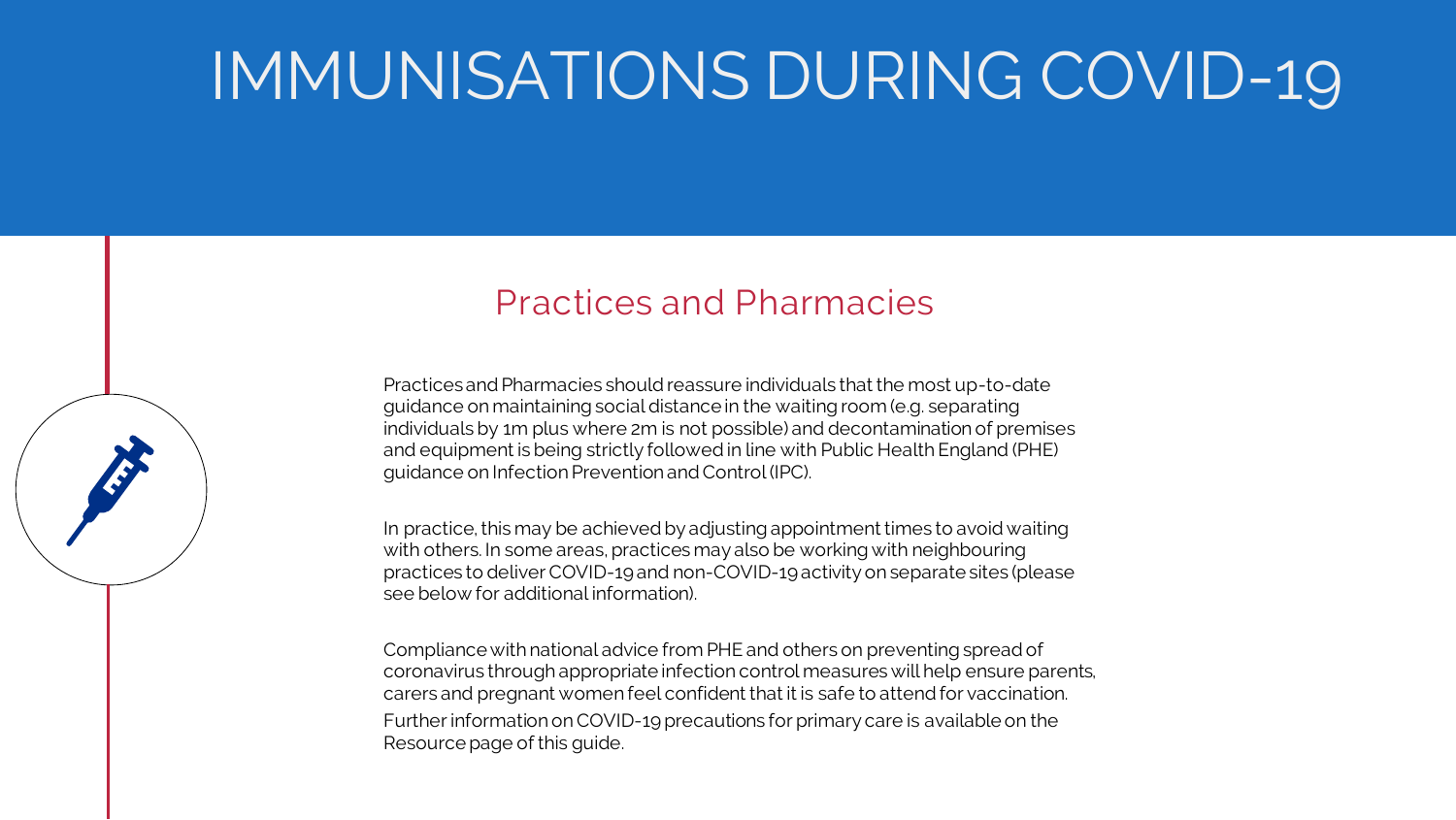## Practices and Pharmacies

## IMMUNISATIONS DURING COVID-19

Practices and Pharmacies should reassure individuals that the most up-to-date guidance on maintaining social distance in the waiting room (e.g. separating individuals by 1m plus where 2m is not possible) and decontamination of premises and equipment is being strictly followed in line with Public Health England (PHE) guidance on Infection Prevention and Control (IPC).

In practice, this may be achieved by adjusting appointment times to avoid waiting with others. In some areas, practices may also be working with neighbouring practices to deliver COVID-19 and non-COVID-19 activity on separate sites (please see below for additional information).

Compliance with national advice from PHE and others on preventing spread of coronavirus through appropriate infection control measures will help ensure parents, carers and pregnant women feel confident that it is safe to attend for vaccination. Further information on COVID-19 precautions for primary care is available on the Resource page of this guide.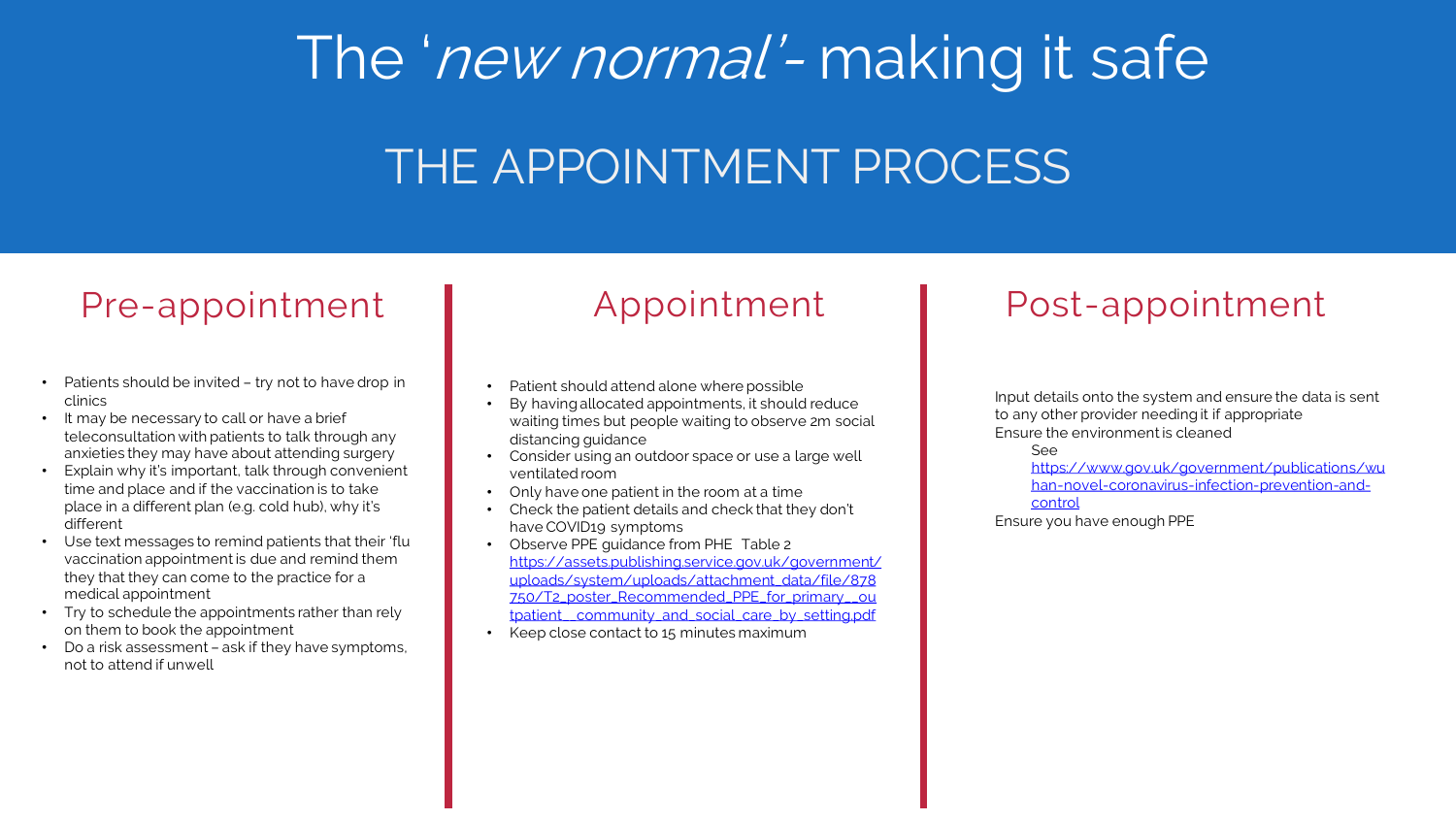- Patients should be invited try not to have drop in clinics
- It may be necessary to call or have a brief teleconsultation with patients to talk through any anxieties they may have about attending surgery
- Explain why it's important, talk through convenient time and place and if the vaccination is to take place in a different plan (e.g. cold hub), why it's different
- Use text messages to remind patients that their 'flu vaccination appointment is due and remind them they that they can come to the practice for a medical appointment
- Try to schedule the appointments rather than rely on them to book the appointment
- Do a risk assessment ask if they have symptoms, not to attend if unwell

# THE APPOINTMENT PROCESS The 'new normal'- making it safe

## Appointment

- Patient should attend alone where possible
- By having allocated appointments, it should reduce waiting times but people waiting to observe 2m social distancing guidance
- Consider using an outdoor space or use a large well ventilated room
- Only have one patient in the room at a time
- Check the patient details and check that they don't have COVID19 symptoms
- Observe PPE guidance from PHE Table 2 https://assets.publishing.service.gov.uk/government/ [uploads/system/uploads/attachment\\_data/file/878](https://assets.publishing.service.gov.uk/government/uploads/system/uploads/attachment_data/file/878750/T2_poster_Recommended_PPE_for_primary__outpatient__community_and_social_care_by_setting.pdf) 750/T2\_poster\_Recommended\_PPE\_for\_primary\_\_ou tpatient\_community\_and\_social\_care\_by\_setting.pdf
- Keep close contact to 15 minutes maximum

### Pre-appointment | Appointment | Post-appointment

Input details onto the system and ensure the data is sent to any other provider needing it if appropriate Ensure the environment is cleaned

See

[https://www.gov.uk/government/publications/wu](https://www.gov.uk/government/publications/wuhan-novel-coronavirus-infection-prevention-and-control) han-novel-coronavirus-infection-prevention-andcontrol

Ensure you have enough PPE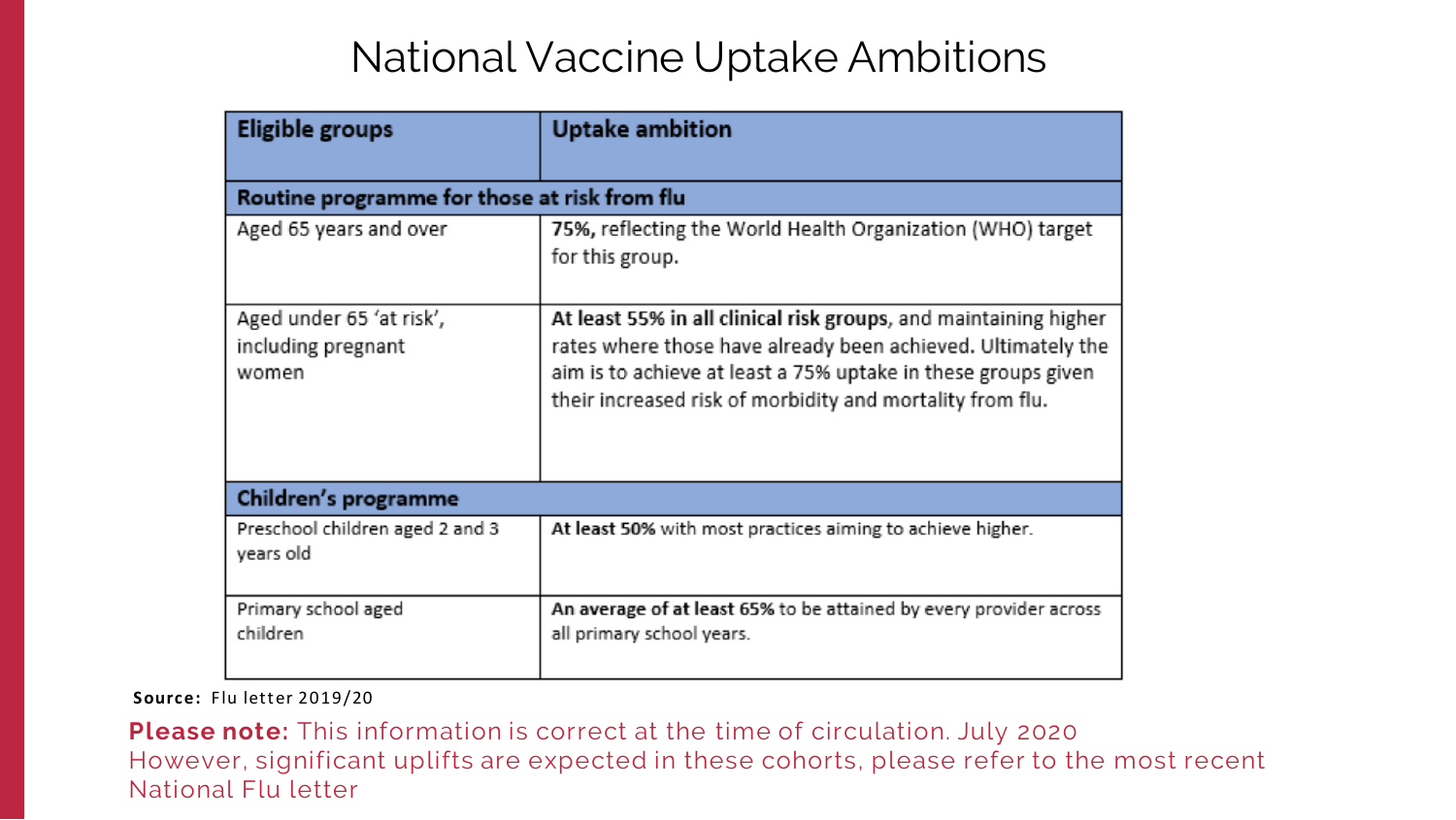## National Vaccine Uptake Ambitions

| <b>Eligible groups</b>                                  | <b>Uptake ambition</b>                                                                                                                                                           |  |  |
|---------------------------------------------------------|----------------------------------------------------------------------------------------------------------------------------------------------------------------------------------|--|--|
| Routine programme for those at risk from flu            |                                                                                                                                                                                  |  |  |
| Aged 65 years and over                                  | 75%, reflecting the World Health Organi<br>for this group.                                                                                                                       |  |  |
| Aged under 65 'at risk',<br>including pregnant<br>women | At least 55% in all clinical risk groups, ar<br>rates where those have already been ac<br>aim is to achieve at least a 75% uptake in<br>their increased risk of morbidity and mo |  |  |
| Children's programme                                    |                                                                                                                                                                                  |  |  |
| Preschool children aged 2 and 3<br>years old            | At least 50% with most practices aiming to a                                                                                                                                     |  |  |
| Primary school aged<br>children                         | An average of at least 65% to be attained b<br>all primary school years.                                                                                                         |  |  |

**Please note:** This information is correct at the time of circulation. July 2020 However, significant uplifts are expected in these cohorts, please refer to the most recent National Flu letter

ization (WHO) target

nd maintaining higher hieved. Ultimately the n these groups given rtality from flu.

achieve higher.

y every provider across

#### **Source:** Flu letter 2019/20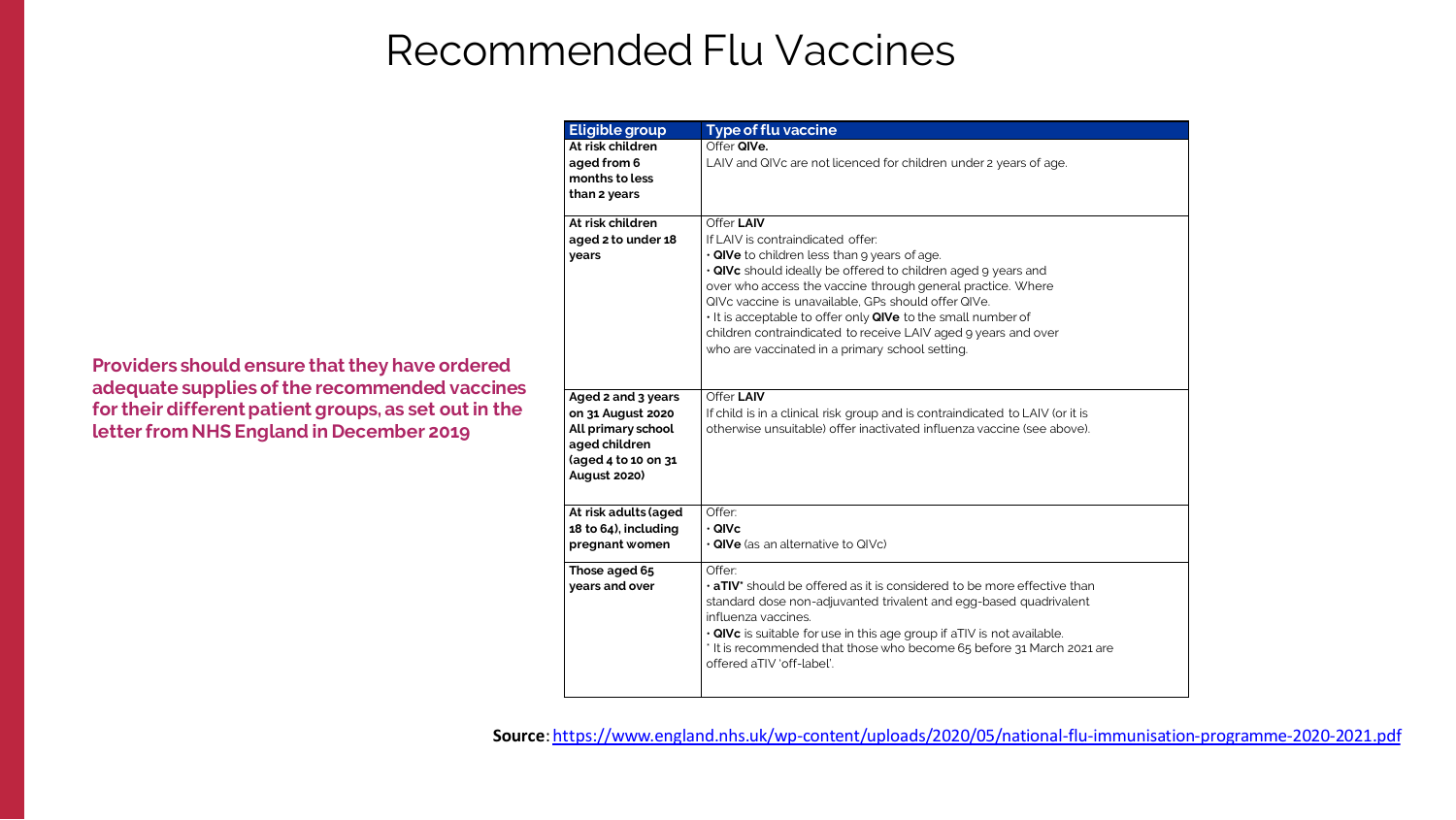## Recommended Flu Vaccines

| <b>Eligible group</b>                                                                                                        | <b>Type of flu vaccine</b>                                                                                                                                                                                                                                                                                                                             |
|------------------------------------------------------------------------------------------------------------------------------|--------------------------------------------------------------------------------------------------------------------------------------------------------------------------------------------------------------------------------------------------------------------------------------------------------------------------------------------------------|
| At risk children<br>aged from 6<br>months to less<br>than 2 years                                                            | Offer QIVe.<br>LAIV and QIVc are not licenced for ch                                                                                                                                                                                                                                                                                                   |
| At risk children<br>aged 2 to under 18<br>years                                                                              | Offer LAIV<br>If LAIV is contraindicated offer:<br>$\cdot$ QIVe to children less than 9 years o<br>· QIVc should ideally be offered to ch<br>over who access the vaccine through<br>QIVc vaccine is unavailable, GPs shor<br>• It is acceptable to offer only QIVe to<br>children contraindicated to receive L<br>who are vaccinated in a primary scho |
| Aged 2 and 3 years<br>on 31 August 2020<br>All primary school<br>aged children<br>(aged 4 to 10 on 31<br><b>August 2020)</b> | Offer LAIV<br>If child is in a clinical risk group and is<br>otherwise unsuitable) offer inactivate                                                                                                                                                                                                                                                    |
| At risk adults (aged<br>18 to 64), including<br>pregnant women                                                               | Offer:<br>· QIVc<br>$\cdot$ QIVe (as an alternative to QIVc)                                                                                                                                                                                                                                                                                           |
| Those aged 65<br>years and over                                                                                              | Offer:<br>. aTIV* should be offered as it is cons<br>standard dose non-adjuvanted trivale<br>influenza vaccines.<br>$\cdot$ QIVc is suitable for use in this age g<br>* It is recommended that those who k<br>offered aTIV 'off-label'.                                                                                                                |

hildren under 2 years of age.

of age.

- hildren aged 9 years and
- h general practice. Where
- uld offer QIVe.
- to the small number of
- LAIV aged 9 years and over
- ool setting.

If contraindicated to LAIV (or it is ed influenza vaccine (see above).

 $sidered$  to be more effective than lent and egg-based quadrivalent

group if aTIV is not available. become 65 before 31 March 2021 are

|                                                                                                                                                                                                                    | trian z years                                                                                                                |
|--------------------------------------------------------------------------------------------------------------------------------------------------------------------------------------------------------------------|------------------------------------------------------------------------------------------------------------------------------|
|                                                                                                                                                                                                                    | At risk children<br>aged 2 to under 18<br>years                                                                              |
| <b>Providers should ensure that they have ordered</b><br>adequate supplies of the recommended vaccines<br>for their different patient groups, as set out in the<br><b>Letter from NHS England in December 2019</b> | Aged 2 and 3 years<br>on 31 August 2020<br>All primary school<br>aged children<br>(aged 4 to 10 on 31<br><b>August 2020)</b> |

**Source**:<https://www.england.nhs.uk/wp-content/uploads/2020/05/national-flu-immunisation-programme-2020-2021.pdf>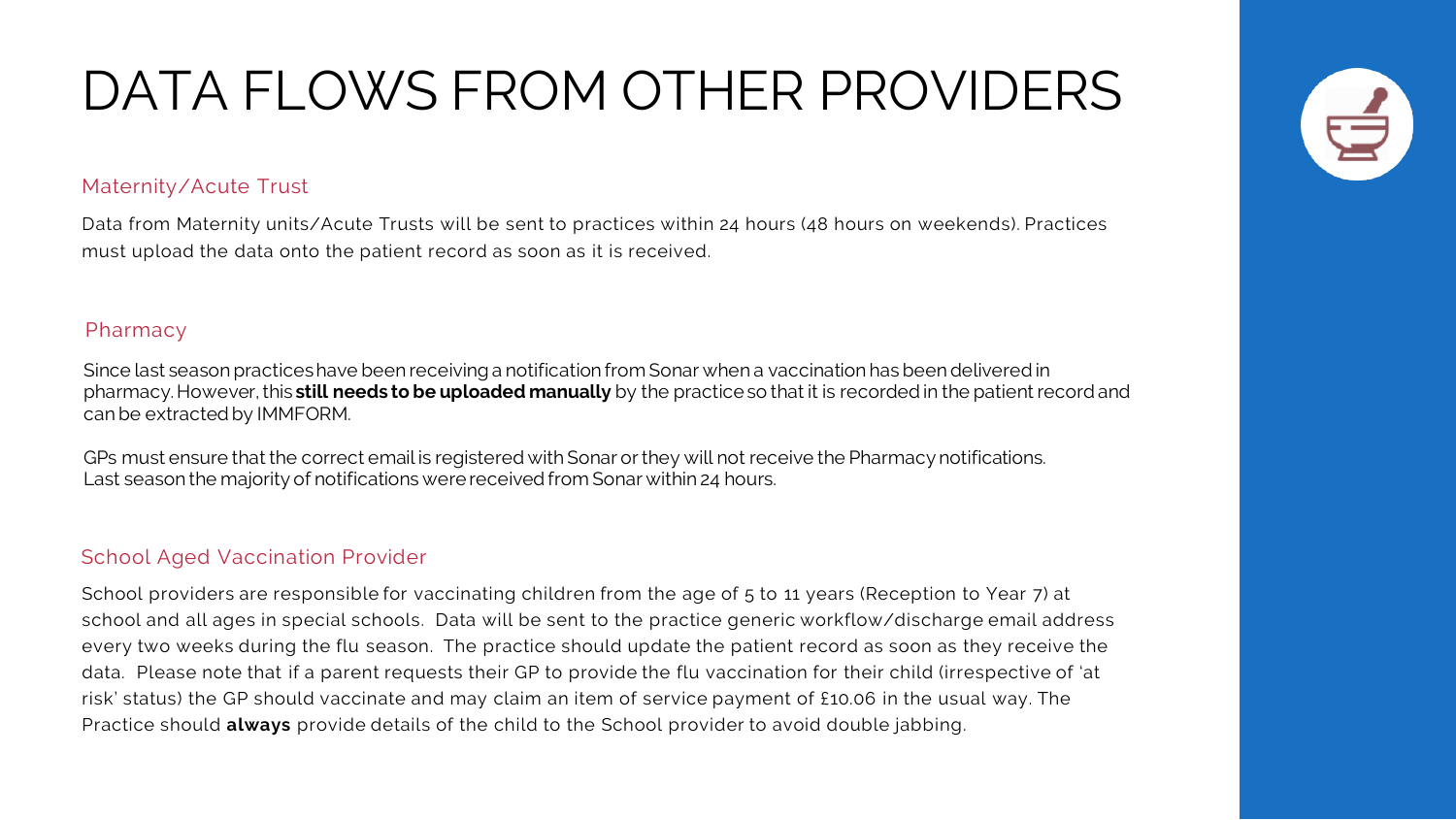## DATA FLOWS FROM OTHER PROVIDERS

Data from Maternity units/Acute Trusts will be sent to practices within 24 hours (48 hours on weekends). Practices must upload the data onto the patient record as soon as it is received.

#### Maternity/Acute Trust

Since last season practices have been receiving a notification from Sonar when a vaccination has been delivered in pharmacy. However, this **still needs to be uploaded manually** by the practice so that it is recorded in the patient record and can be extracted by IMMFORM.

GPs must ensure that the correct email is registered with Sonar or they will not receive the Pharmacy notifications. Last season the majority of notifications were received from Sonar within 24 hours.

School providers are responsible for vaccinating children from the age of 5 to 11 years (Reception to Year 7) at school and all ages in special schools. Data will be sent to the practice generic workflow/discharge email address every two weeks during the flu season. The practice should update the patient record as soon as they receive the data. Please note that if a parent requests their GP to provide the flu vaccination for their child (irrespective of 'at risk' status) the GP should vaccinate and may claim an item of service payment of £10.06 in the usual way. The Practice should **always** provide details of the child to the School provider to avoid double jabbing.



#### Pharmacy

#### School Aged Vaccination Provider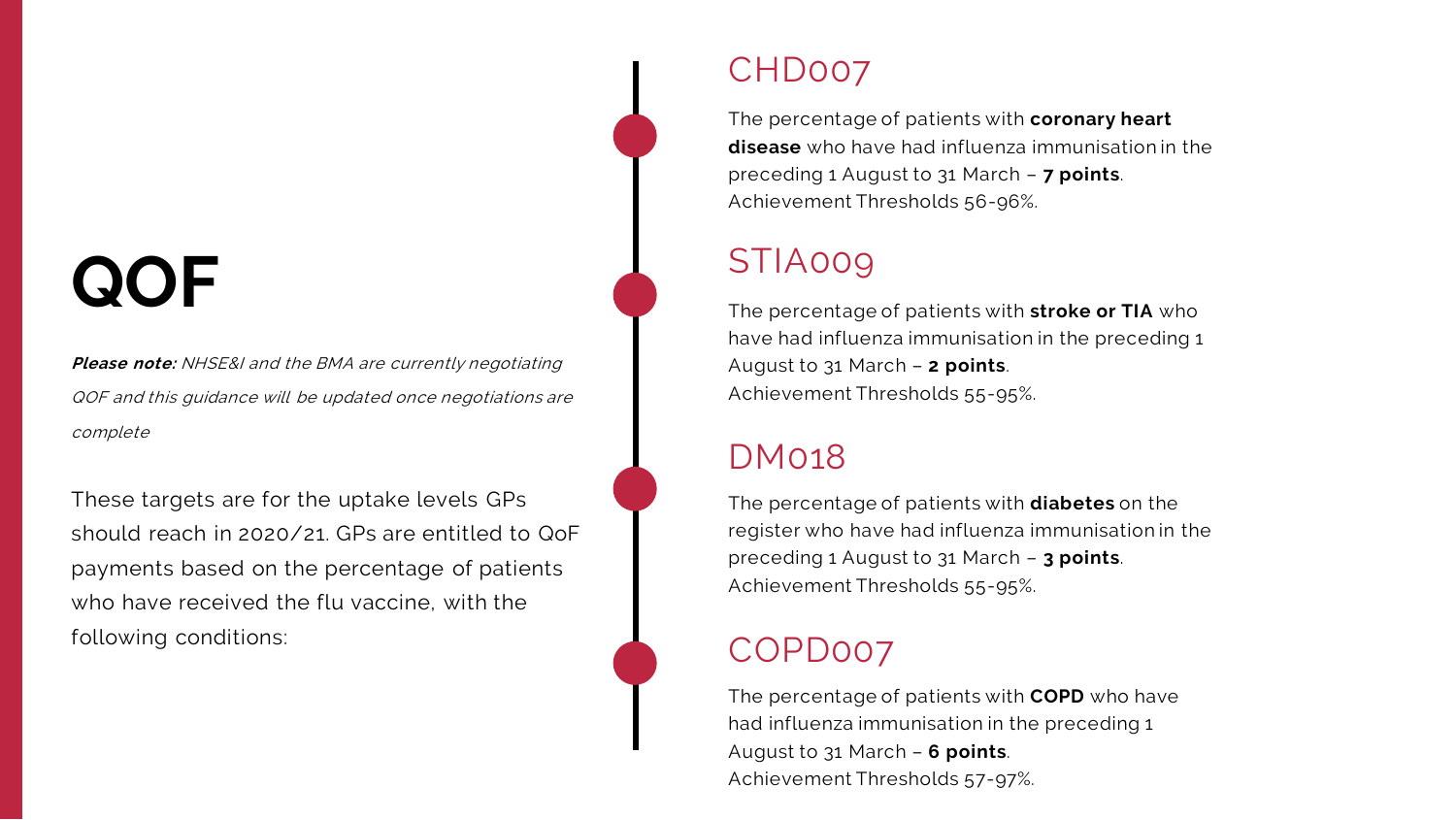## **QOF**

**Please note:** NHSE&I and the BMA are currently negotiating QOF and this guidance will be updated once negotiations are complete

These targets are for the uptake levels GPs should reach in 2020/21. GPs are entitled to QoF payments based on the percentage of patients who have received the flu vaccine, with the following conditions:

### CHD007

The percentage of patients with **coronary heart disease** who have had influenza immunisation in the preceding 1 August to 31 March – **7 points**. Achievement Thresholds 56-96%.

## STIA009

The percentage of patients with **stroke or TIA** who have had influenza immunisation in the preceding 1 August to 31 March – **2 points**. Achievement Thresholds 55-95%.

### DM018

The percentage of patients with **diabetes** on the register who have had influenza immunisation in the preceding 1 August to 31 March – **3 points**. Achievement Thresholds 55-95%.

### COPD007

The percentage of patients with **COPD** who have had influenza immunisation in the preceding 1 August to 31 March – **6 points**. Achievement Thresholds 57-97%.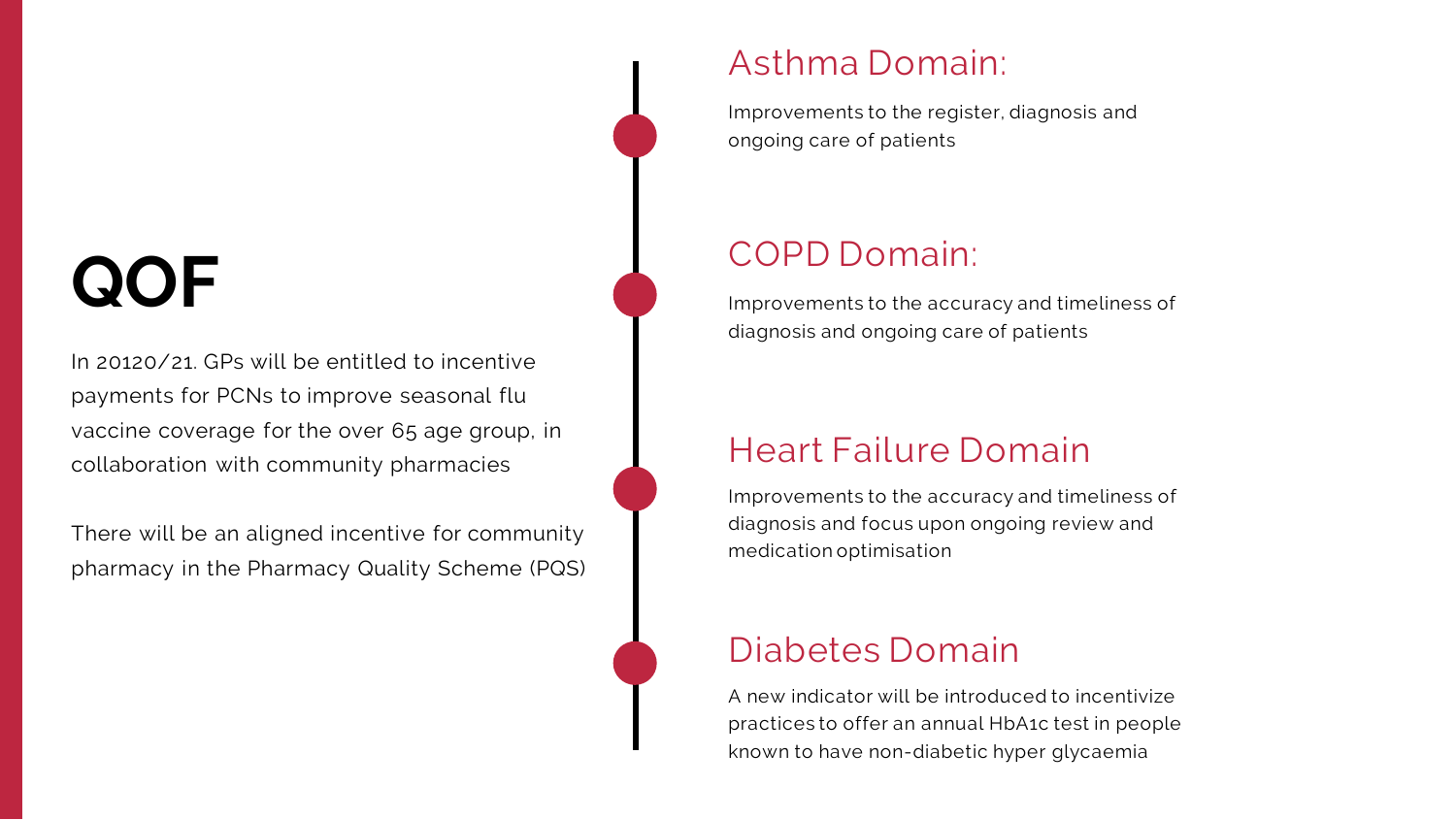## **QOF**

In 20120/21. GPs will be entitled to incentive payments for PCNs to improve seasonal flu vaccine coverage for the over 65 age group, in collaboration with community pharmacies

There will be an aligned incentive for community pharmacy in the Pharmacy Quality Scheme (PQS)

## Asthma Domain:

Improvements to the register, diagnosis and ongoing care of patients

## COPD Domain:

Improvements to the accuracy and timeliness of diagnosis and ongoing care of patients

## Heart Failure Domain

Improvements to the accuracy and timeliness of diagnosis and focus upon ongoing review and medication optimisation

## Diabetes Domain

A new indicator will be introduced to incentivize practices to offer an annual HbA1c test in people known to have non-diabetic hyper glycaemia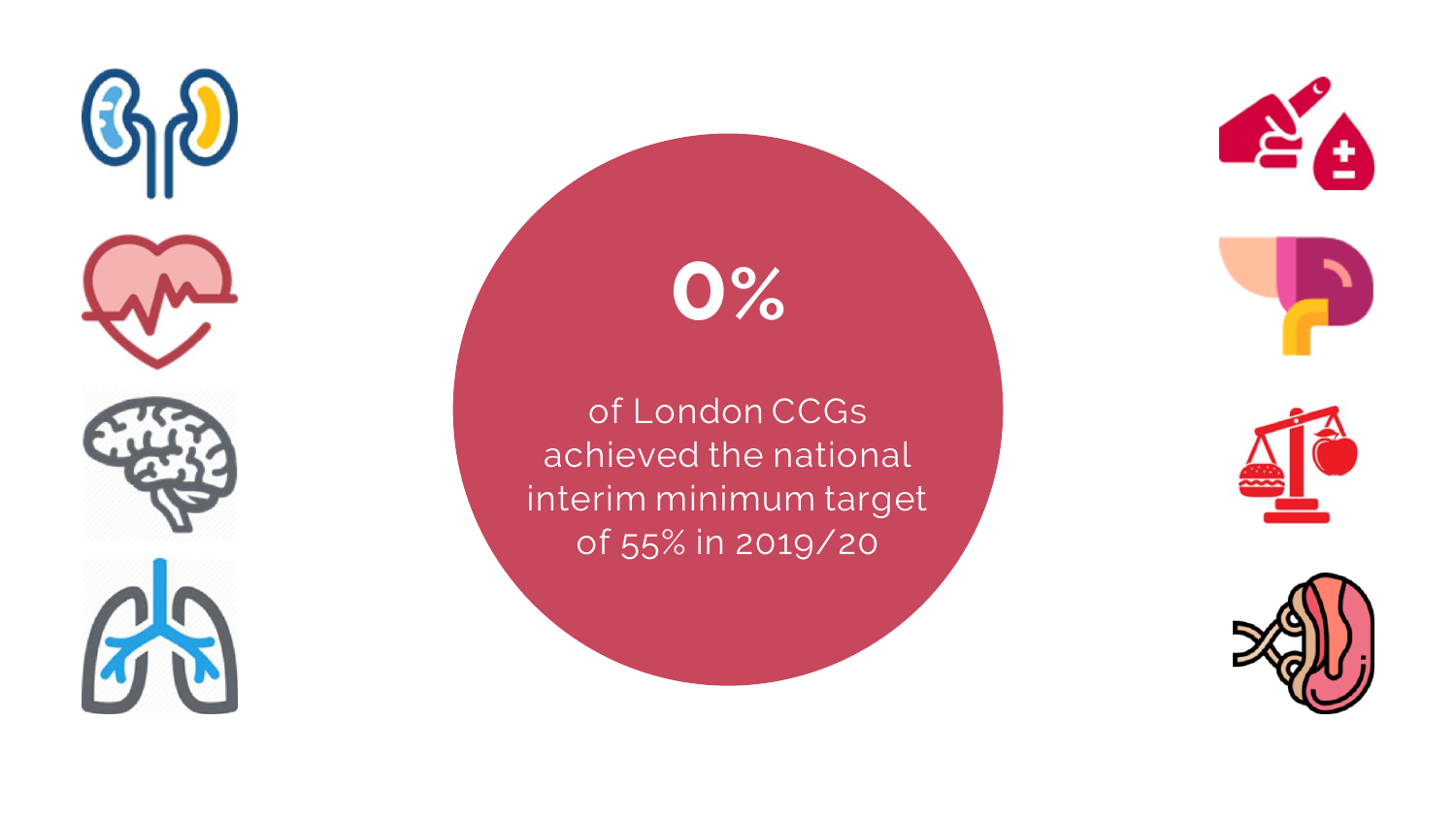

# **0%**

of London CCGs achieved the national interim minimum target of 55% in 2019/20











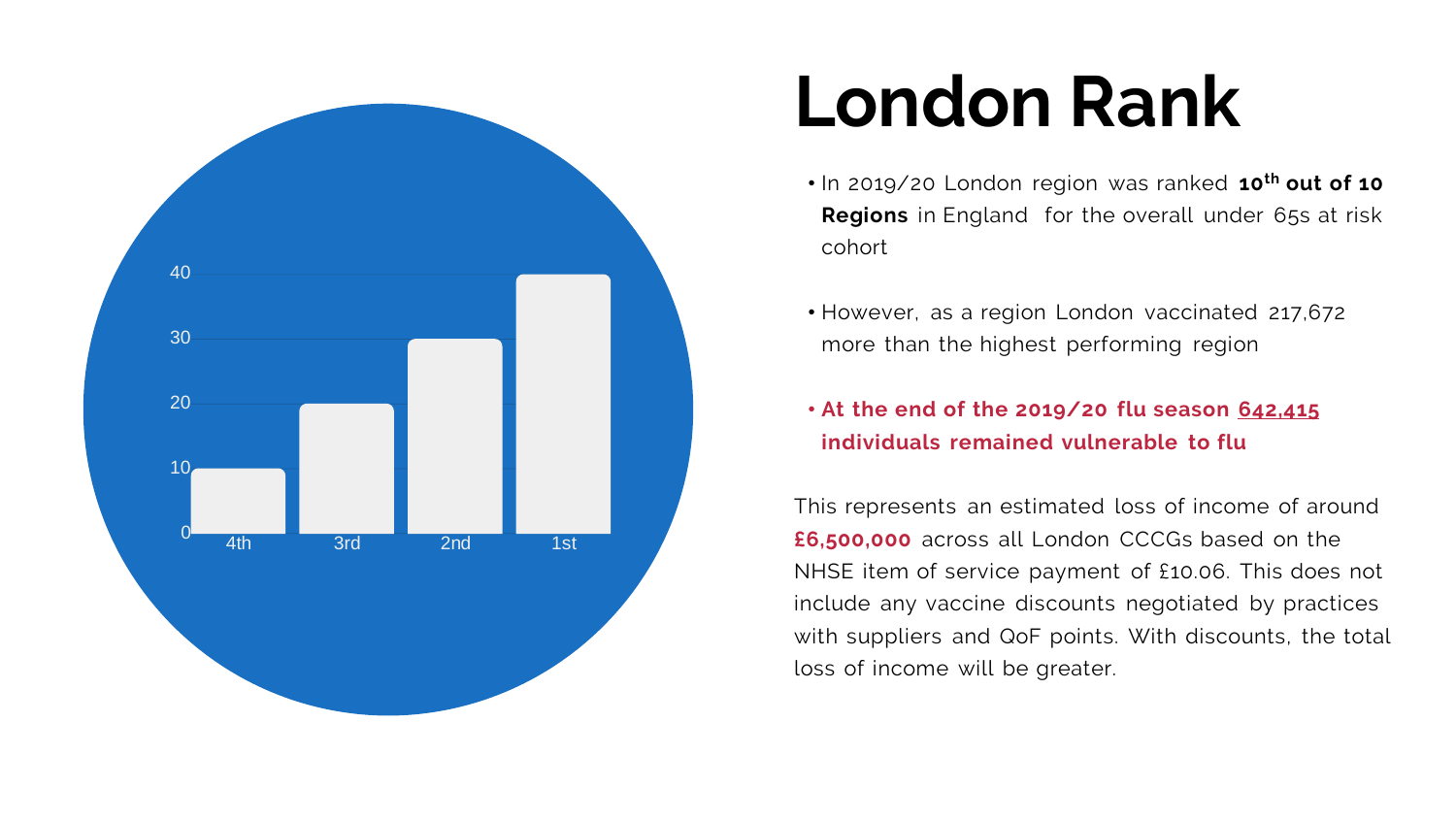

# **London Rank**

• In 2019/20 London region was ranked **10 th out of 10 Regions** in England for the overall under 65s at risk

- cohort
- 
- 

• However, as a region London vaccinated 217,672 more than the highest performing region

#### • **At the end of the 2019/20 flu season 642,415 individuals remained vulnerable to flu**

This represents an estimated loss of income of around **£6,500,000** across all London CCCGs based on the NHSE item of service payment of £10.06. This does not include any vaccine discounts negotiated by practices with suppliers and QoF points. With discounts, the total loss of income will be greater.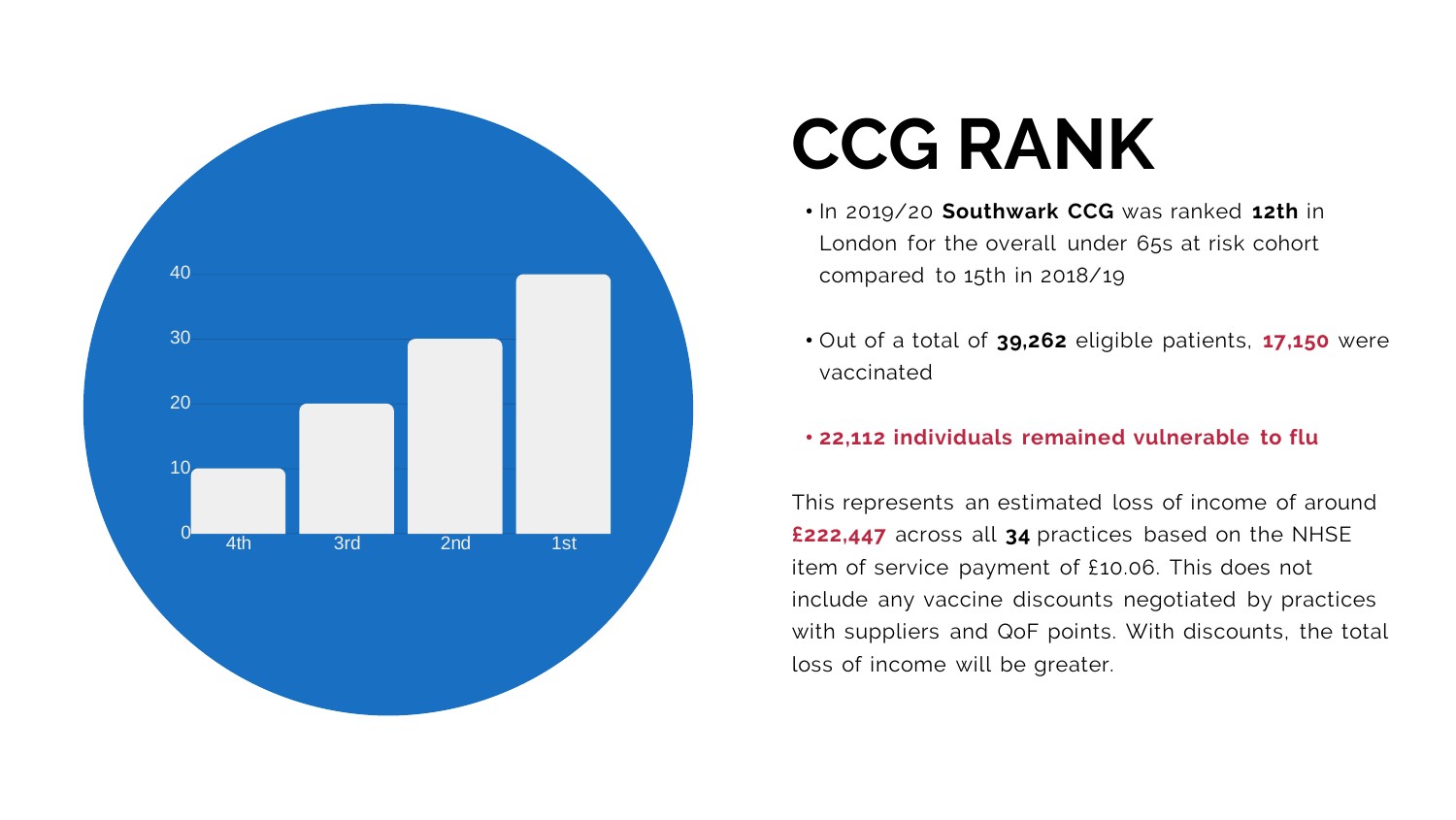

# **CCG RANK**

• In 2019/20 **Southwark CCG** was ranked **12th** in London for the overall under 65s at risk cohort compared to 15th in 2018/19

• Out of a total of **39,262** eligible patients, **17,150** were

- 
- vaccinated
- 

#### • **22,112 individuals remained vulnerable to flu**

This represents an estimated loss of income of around **£222,447** across all **34** practices based on the NHSE item of service payment of £10.06. This does not include any vaccine discounts negotiated by practices with suppliers and QoF points. With discounts, the total loss of income will be greater.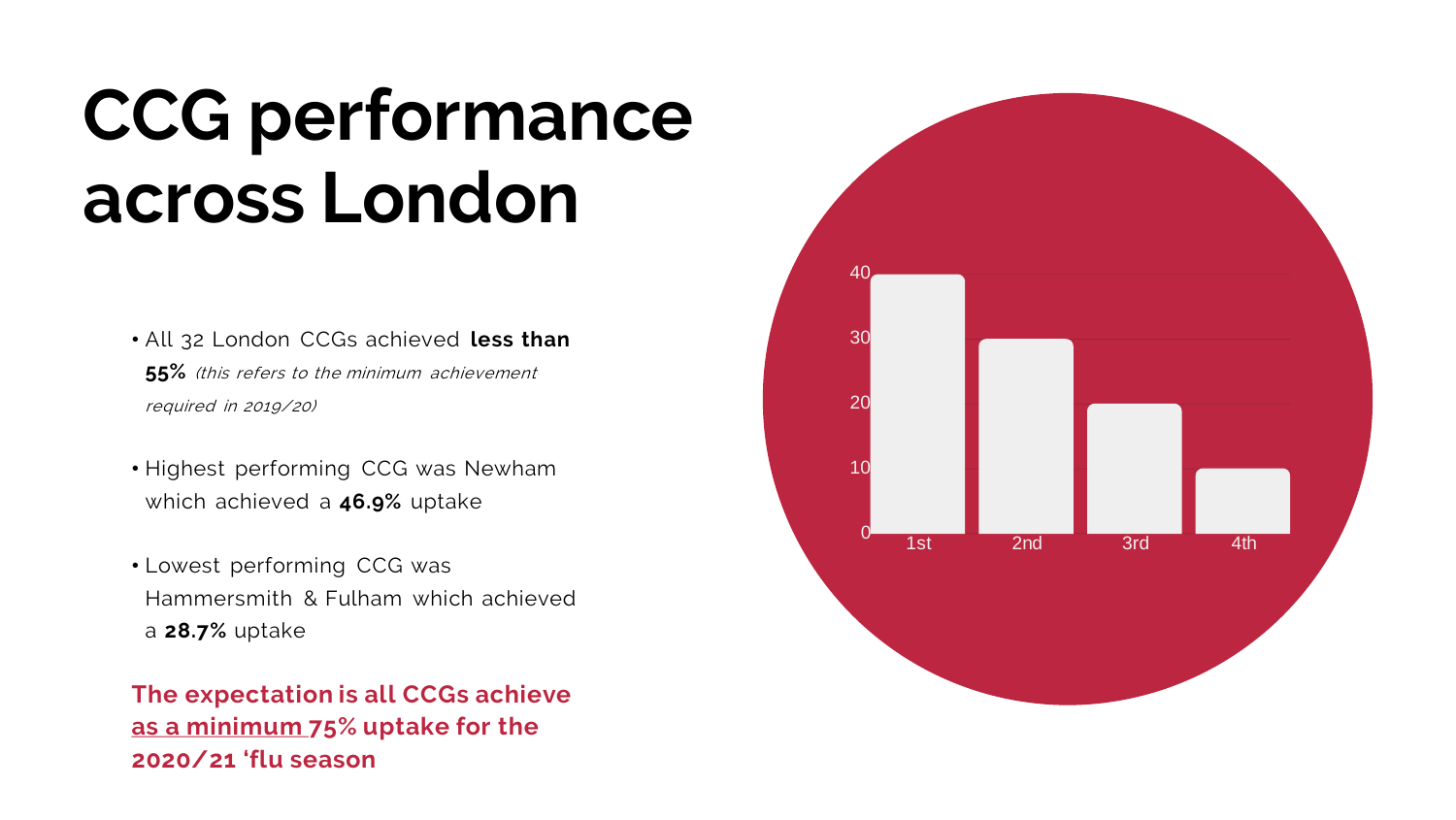

40

30

20

10

 $\mathsf{O}^\mathsf{L}$ 

# **CCG performance across London**

- All 32 London CCGs achieved **less than 55%** (this refers to the minimum achievement required in 2019/20)
- Highest performing CCG was Newham which achieved a **46.9%** uptake
- Lowest performing CCG was Hammersmith & Fulham which achieved a **28.7%** uptake

**The expectation is all CCGs achieve as a minimum 75% uptake for the 2020/21 'flu season**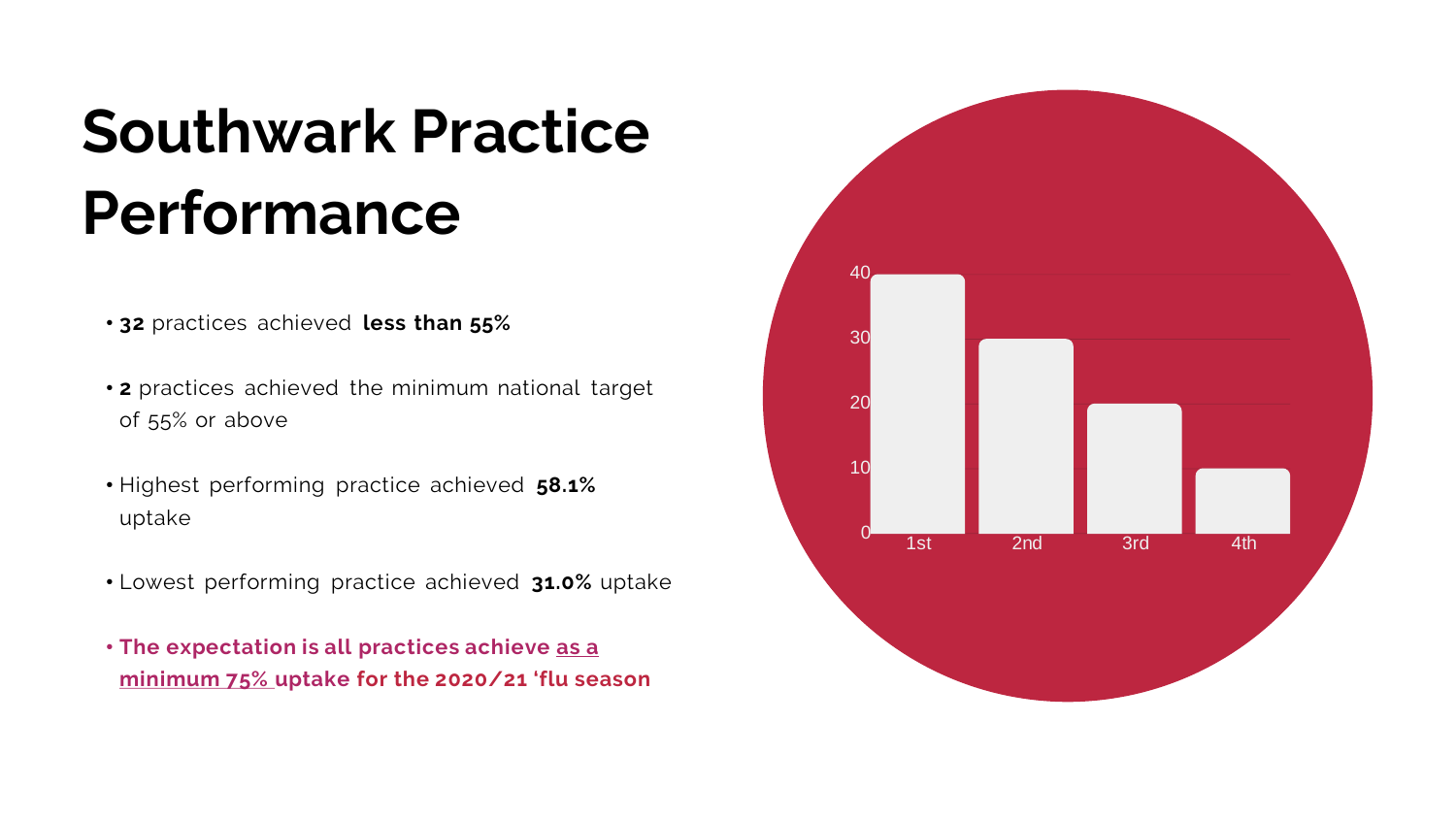

## **Southwark Practice Performance**

- **32** practices achieved **less than 55%**
- **2** practices achieved the minimum national target of 55% or above
- Highest performing practice achieved **58.1%** uptake
- Lowest performing practice achieved **31.0%** uptake
- **The expectation is all practices achieve as a minimum 75% uptake for the 2020/21 'flu season**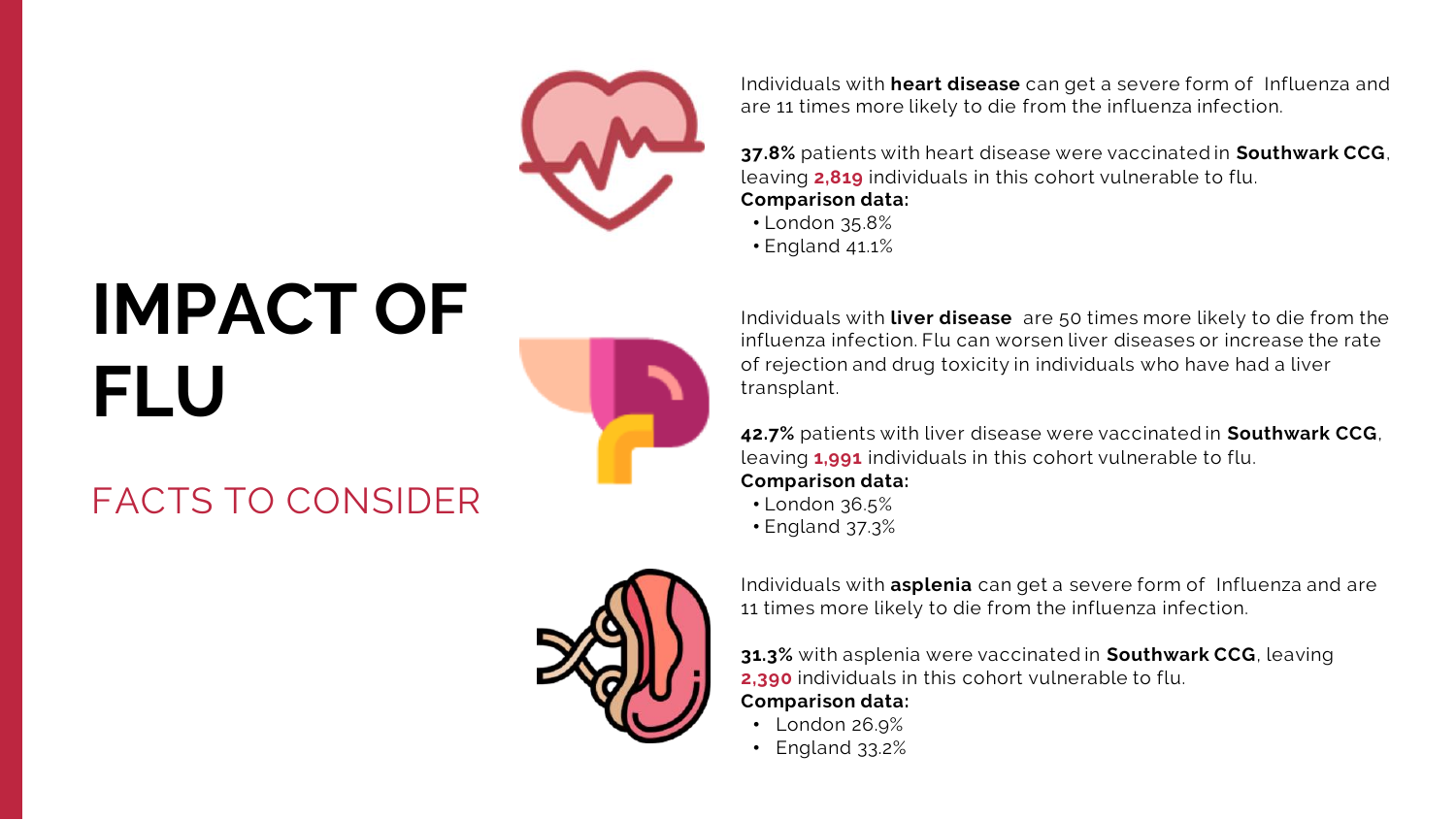

# **IMPACT OF FLU**

## FACTS TO CONSIDER



Individuals with **heart disease** can get a severe form of Influenza and are 11 times more likely to die from the influenza infection.

**37.8%** patients with heart disease were vaccinated in **Southwark CCG**, leaving **2,819** individuals in this cohort vulnerable to flu. **Comparison data:**

- London 35.8%
- England 41.1%

Individuals with **liver disease** are 50 times more likely to die from the influenza infection. Flu can worsen liver diseases or increase the rate of rejection and drug toxicity in individuals who have had a liver transplant.

**42.7%** patients with liver disease were vaccinated in **Southwark CCG**, leaving **1,991** individuals in this cohort vulnerable to flu. **Comparison data:**

- London 36.5%
- England 37.3%

Individuals with **asplenia** can get a severe form of Influenza and are 11 times more likely to die from the influenza infection.

**31.3%** with asplenia were vaccinated in **Southwark CCG**, leaving **2,390** individuals in this cohort vulnerable to flu. **Comparison data:**

- London 26.9%
- England 33.2%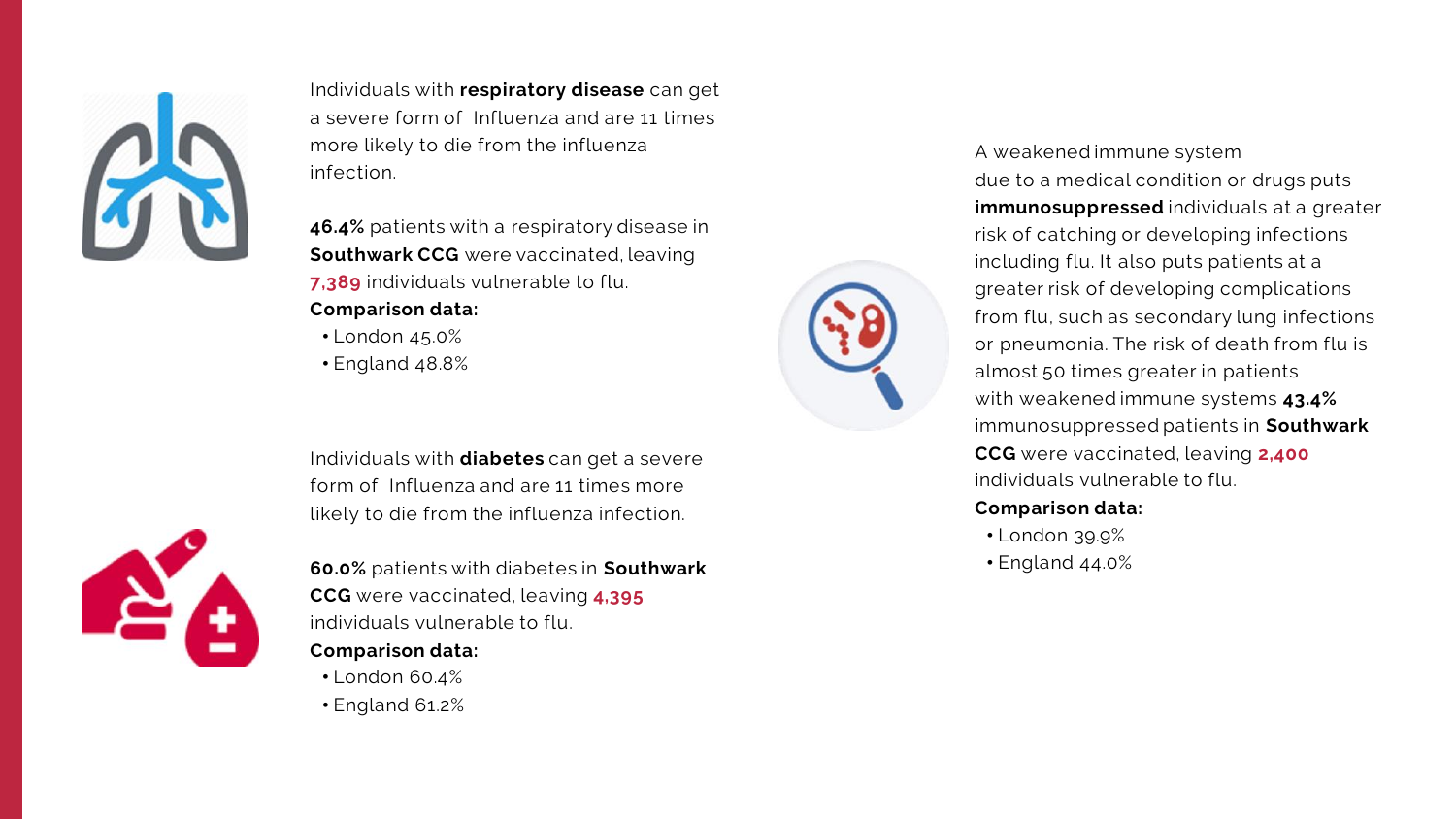

Individuals with **respiratory disease** can get a severe form of Influenza and are 11 times more likely to die from the influenza infection.

**46.4%** patients with a respiratory disease in **Southwark CCG** were vaccinated, leaving **7,389** individuals vulnerable to flu. **Comparison data:**

- London 45.0%
- England 48.8%



## A weakened immune system due to a medical condition or drugs puts

**immunosuppressed** individuals at a greater risk of catching or developing infections including flu. It also puts patients at a greater risk of developing complications from flu, such as secondary lung infections or pneumonia. The risk of death from flu is almost 50 times greater in patients with weakened immune systems **43.4%** immunosuppressed patients in **Southwark CCG** were vaccinated, leaving **2,400**  individuals vulnerable to flu.

#### **Comparison data:**

- London 39.9%
- England 44.0%

Individuals with **diabetes** can get a severe form of Influenza and are 11 times more likely to die from the influenza infection.



**60.0%** patients with diabetes in **Southwark CCG** were vaccinated, leaving **4,395** individuals vulnerable to flu.

#### **Comparison data:**

- London 60.4%
- England 61.2%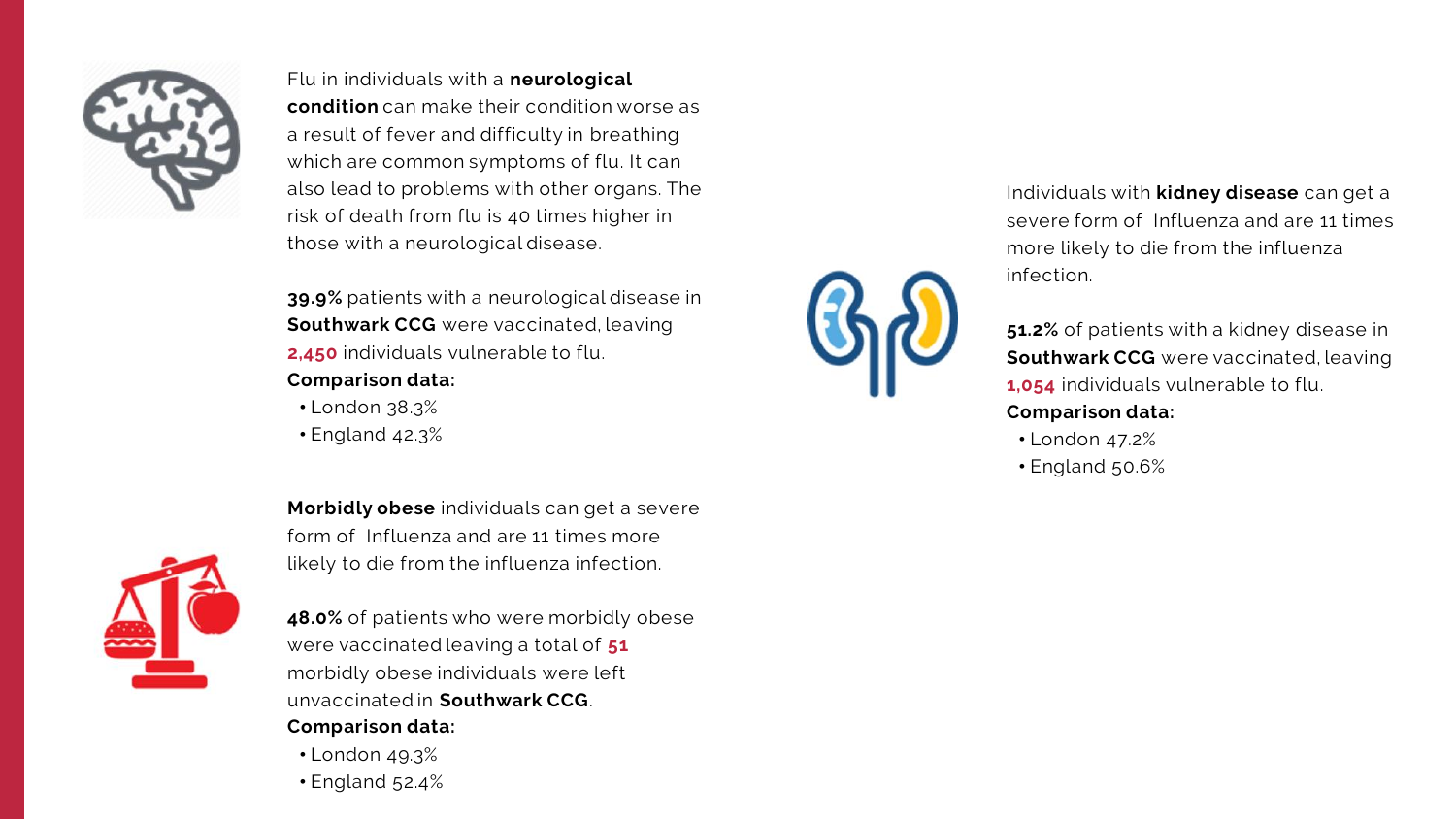**Morbidly obese** individuals can get a severe form of Influenza and are 11 times more likely to die from the influenza infection.



**48.0%** of patients who were morbidly obese were vaccinated leaving a total of **51** morbidly obese individuals were left unvaccinated in **Southwark CCG**. **Comparison data:**

- London 49.3%
- England 52.4%





Flu in individuals with a **neurological condition** can make their condition worse as a result of fever and difficulty in breathing which are common symptoms of flu. It can also lead to problems with other organs. The risk of death from flu is 40 times higher in those with a neurological disease.

**39.9%** patients with a neurological disease in **Southwark CCG** were vaccinated, leaving **2,450** individuals vulnerable to flu.

#### **Comparison data:**

- London 38.3%
- England 42.3%

Individuals with **kidney disease** can get a severe form of Influenza and are 11 times more likely to die from the influenza infection.

**51.2%** of patients with a kidney disease in **Southwark CCG** were vaccinated, leaving **1,054** individuals vulnerable to flu. **Comparison data:**

- London 47.2%
- England 50.6%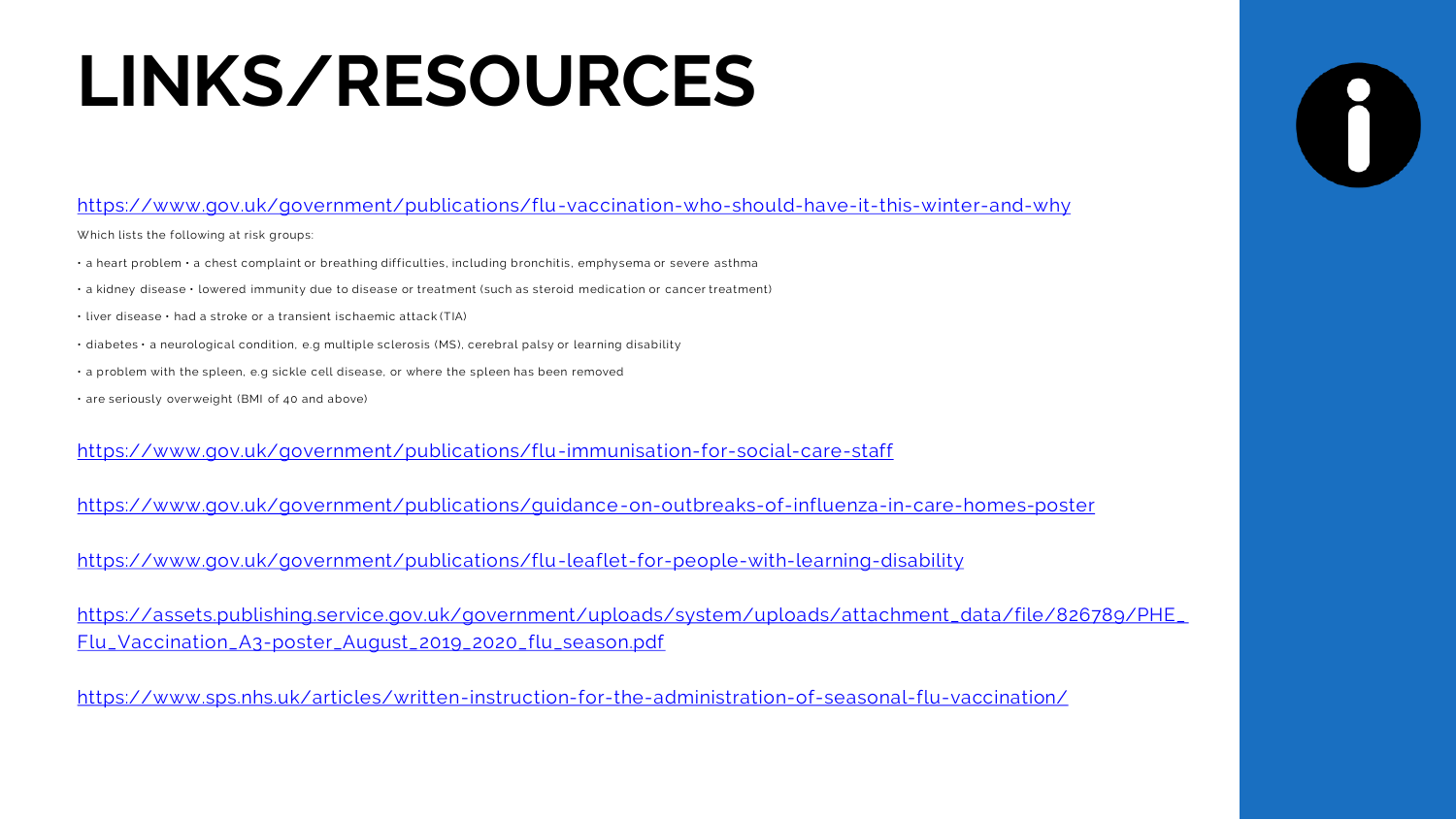# **LINKS/RESOURCES**

#### <https://www.gov.uk/government/publications/flu-vaccination-who-should-have-it-this-winter-and-why>

Which lists the following at risk groups:

- a heart problem a chest complaint or breathing difficulties, including bronchitis, emphysema or severe asthma
- a kidney disease lowered immunity due to disease or treatment (such as steroid medication or cancer treatment)
- liver disease had a stroke or a transient ischaemic attack (TIA)
- diabetes a neurological condition, e.g multiple sclerosis (MS), cerebral palsy or learning disability
- a problem with the spleen, e.g sickle cell disease, or where the spleen has been removed
- are seriously overweight (BMI of 40 and above)

<https://www.gov.uk/government/publications/flu-immunisation-for-social-care-staff>

<https://www.gov.uk/government/publications/guidance-on-outbreaks-of-influenza-in-care-homes-poster>

<https://www.gov.uk/government/publications/flu-leaflet-for-people-with-learning-disability>

[https://assets.publishing.service.gov.uk/government/uploads/system/uploads/attachment\\_data/file/826789/PHE\\_](https://assets.publishing.service.gov.uk/government/uploads/system/uploads/attachment_data/file/826789/PHE_Flu_Vaccination_A3-poster_August_2019_2020_flu_season.pdf) Flu\_Vaccination\_A3-poster\_August\_2019\_2020\_flu\_season.pdf

<https://www.sps.nhs.uk/articles/written-instruction-for-the-administration-of-seasonal-flu-vaccination/>